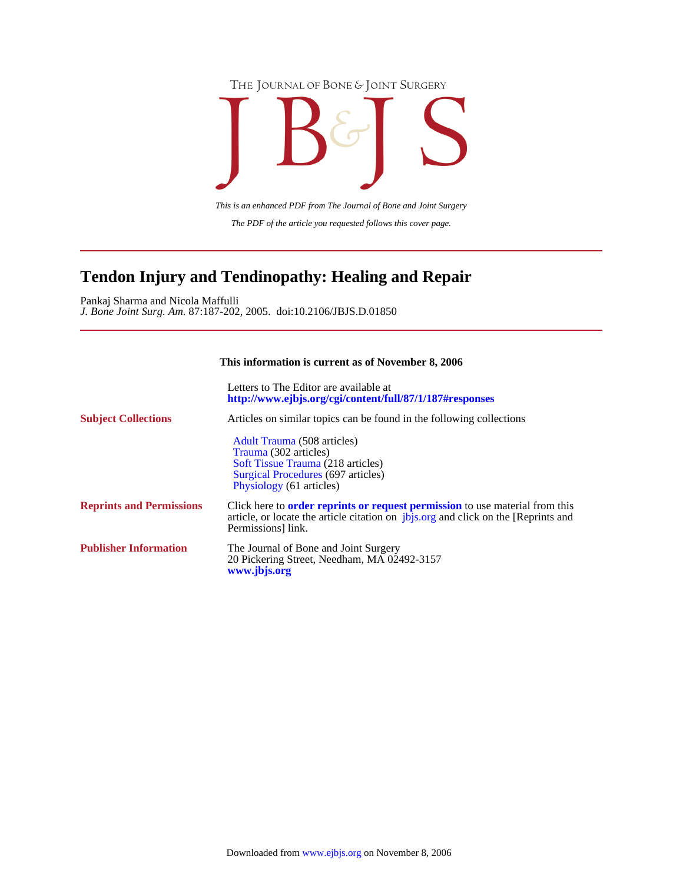



*The PDF of the article you requested follows this cover page. This is an enhanced PDF from The Journal of Bone and Joint Surgery*

# **Tendon Injury and Tendinopathy: Healing and Repair**

*J. Bone Joint Surg. Am.* 87:187-202, 2005. doi:10.2106/JBJS.D.01850 Pankaj Sharma and Nicola Maffulli

# **This information is current as of November 8, 2006**

 **<http://www.ejbjs.org/cgi/content/full/87/1/187#responses>** Letters to The Editor are available at

| <b>Subject Collections</b>      | Articles on similar topics can be found in the following collections                                                                                                                                  |
|---------------------------------|-------------------------------------------------------------------------------------------------------------------------------------------------------------------------------------------------------|
|                                 | Adult Trauma (508 articles)<br>Trauma (302 articles)<br>Soft Tissue Trauma (218 articles)                                                                                                             |
|                                 | <b>Surgical Procedures (697 articles)</b><br>Physiology (61 articles)                                                                                                                                 |
| <b>Reprints and Permissions</b> | Click here to <b>order reprints or request permission</b> to use material from this<br>article, or locate the article citation on <i>jbjs.org</i> and click on the [Reprints and<br>Permissions link. |
| <b>Publisher Information</b>    | The Journal of Bone and Joint Surgery<br>20 Pickering Street, Needham, MA 02492-3157<br>www.jbjs.org                                                                                                  |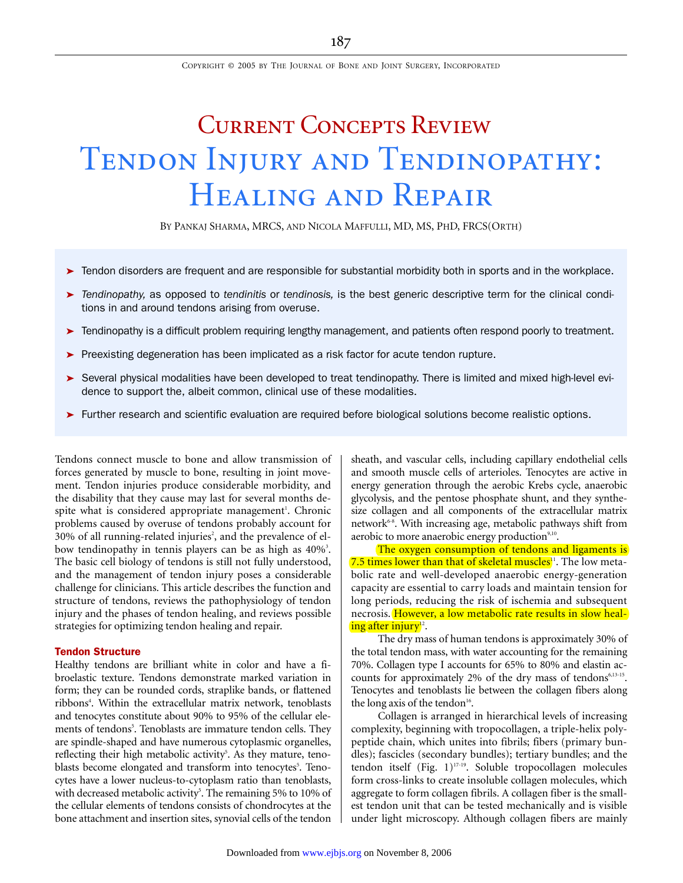COPYRIGHT © 2005 BY THE JOURNAL OF BONE AND JOINT SURGERY, INCORPORATED

# Current Concepts Review Tendon Injury and Tendinopathy: Healing and Repair

BY PANKAJ SHARMA, MRCS, AND NICOLA MAFFULLI, MD, MS, PHD, FRCS(ORTH)

- ➤ Tendon disorders are frequent and are responsible for substantial morbidity both in sports and in the workplace.
- ➤ *Tendinopathy,* as opposed to *tendinitis* or *tendinosis,* is the best generic descriptive term for the clinical conditions in and around tendons arising from overuse.
- ➤ Tendinopathy is a difficult problem requiring lengthy management, and patients often respond poorly to treatment.
- ➤ Preexisting degeneration has been implicated as a risk factor for acute tendon rupture.
- ► Several physical modalities have been developed to treat tendinopathy. There is limited and mixed high-level evidence to support the, albeit common, clinical use of these modalities.
- ➤ Further research and scientific evaluation are required before biological solutions become realistic options.

Tendons connect muscle to bone and allow transmission of forces generated by muscle to bone, resulting in joint movement. Tendon injuries produce considerable morbidity, and the disability that they cause may last for several months despite what is considered appropriate management<sup>1</sup>. Chronic problems caused by overuse of tendons probably account for 30% of all running-related injuries<sup>2</sup>, and the prevalence of elbow tendinopathy in tennis players can be as high as 40%<sup>3</sup>. The basic cell biology of tendons is still not fully understood, and the management of tendon injury poses a considerable challenge for clinicians. This article describes the function and structure of tendons, reviews the pathophysiology of tendon injury and the phases of tendon healing, and reviews possible strategies for optimizing tendon healing and repair.

# Tendon Structure

Healthy tendons are brilliant white in color and have a fibroelastic texture. Tendons demonstrate marked variation in form; they can be rounded cords, straplike bands, or flattened ribbons<sup>4</sup>. Within the extracellular matrix network, tenoblasts and tenocytes constitute about 90% to 95% of the cellular elements of tendons<sup>5</sup>. Tenoblasts are immature tendon cells. They are spindle-shaped and have numerous cytoplasmic organelles, reflecting their high metabolic activity<sup>5</sup>. As they mature, tenoblasts become elongated and transform into tenocytes<sup>5</sup>. Tenocytes have a lower nucleus-to-cytoplasm ratio than tenoblasts, with decreased metabolic activity<sup>5</sup>. The remaining 5% to 10% of the cellular elements of tendons consists of chondrocytes at the bone attachment and insertion sites, synovial cells of the tendon

sheath, and vascular cells, including capillary endothelial cells and smooth muscle cells of arterioles. Tenocytes are active in energy generation through the aerobic Krebs cycle, anaerobic glycolysis, and the pentose phosphate shunt, and they synthesize collagen and all components of the extracellular matrix network<sup>6-8</sup>. With increasing age, metabolic pathways shift from aerobic to more anaerobic energy production<sup>9,10</sup>.

The oxygen consumption of tendons and ligaments is 7.5 times lower than that of skeletal muscles<sup>11</sup>. The low metabolic rate and well-developed anaerobic energy-generation capacity are essential to carry loads and maintain tension for long periods, reducing the risk of ischemia and subsequent necrosis. However, a low metabolic rate results in slow healing after injury<sup>12</sup>.

The dry mass of human tendons is approximately 30% of the total tendon mass, with water accounting for the remaining 70%. Collagen type I accounts for 65% to 80% and elastin accounts for approximately 2% of the dry mass of tendons<sup>6,13-15</sup>. Tenocytes and tenoblasts lie between the collagen fibers along the long axis of the tendon $16$ .

Collagen is arranged in hierarchical levels of increasing complexity, beginning with tropocollagen, a triple-helix polypeptide chain, which unites into fibrils; fibers (primary bundles); fascicles (secondary bundles); tertiary bundles; and the tendon itself (Fig.  $1$ )<sup>17-19</sup>. Soluble tropocollagen molecules form cross-links to create insoluble collagen molecules, which aggregate to form collagen fibrils. A collagen fiber is the smallest tendon unit that can be tested mechanically and is visible under light microscopy. Although collagen fibers are mainly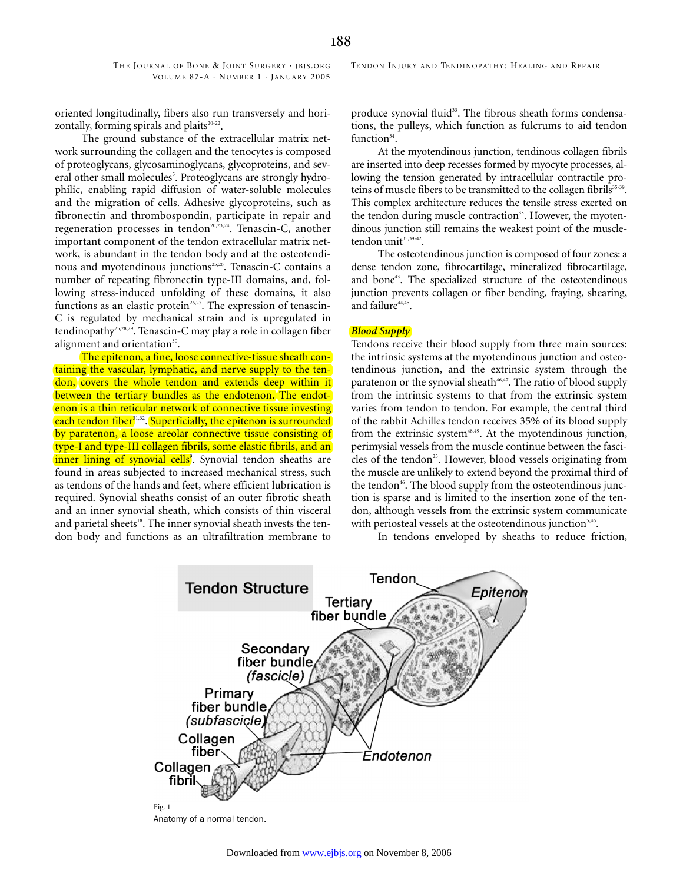TENDON INJURY AND TENDINOPATHY: HEALING AND REPAIR

oriented longitudinally, fibers also run transversely and horizontally, forming spirals and plaits $20-22$ .

The ground substance of the extracellular matrix network surrounding the collagen and the tenocytes is composed of proteoglycans, glycosaminoglycans, glycoproteins, and several other small molecules<sup>5</sup>. Proteoglycans are strongly hydrophilic, enabling rapid diffusion of water-soluble molecules and the migration of cells. Adhesive glycoproteins, such as fibronectin and thrombospondin, participate in repair and regeneration processes in tendon<sup>20,23,24</sup>. Tenascin-C, another important component of the tendon extracellular matrix network, is abundant in the tendon body and at the osteotendinous and myotendinous junctions<sup>25,26</sup>. Tenascin-C contains a number of repeating fibronectin type-III domains, and, following stress-induced unfolding of these domains, it also functions as an elastic protein<sup>26,27</sup>. The expression of tenascin-C is regulated by mechanical strain and is upregulated in tendinopathy<sup>25,28,29</sup>. Tenascin-C may play a role in collagen fiber alignment and orientation<sup>30</sup>.

The epitenon, a fine, loose connective-tissue sheath containing the vascular, lymphatic, and nerve supply to the tendon, covers the whole tendon and extends deep within it between the tertiary bundles as the endotenon. The endotenon is a thin reticular network of connective tissue investing each tendon fiber<sup>31,32</sup>. Superficially, the epitenon is surrounded by paratenon, a loose areolar connective tissue consisting of type-I and type-III collagen fibrils, some elastic fibrils, and an inner lining of synovial cells<sup>2</sup>. Synovial tendon sheaths are found in areas subjected to increased mechanical stress, such as tendons of the hands and feet, where efficient lubrication is required. Synovial sheaths consist of an outer fibrotic sheath and an inner synovial sheath, which consists of thin visceral and parietal sheets<sup>18</sup>. The inner synovial sheath invests the tendon body and functions as an ultrafiltration membrane to produce synovial fluid<sup>33</sup>. The fibrous sheath forms condensations, the pulleys, which function as fulcrums to aid tendon function $34$ .

At the myotendinous junction, tendinous collagen fibrils are inserted into deep recesses formed by myocyte processes, allowing the tension generated by intracellular contractile proteins of muscle fibers to be transmitted to the collagen fibrils<sup>35-39</sup>. This complex architecture reduces the tensile stress exerted on the tendon during muscle contraction<sup>35</sup>. However, the myotendinous junction still remains the weakest point of the muscletendon unit<sup>35,39-42</sup>.

The osteotendinous junction is composed of four zones: a dense tendon zone, fibrocartilage, mineralized fibrocartilage, and bone<sup>43</sup>. The specialized structure of the osteotendinous junction prevents collagen or fiber bending, fraying, shearing, and failure<sup>44,45</sup>.

# *Blood Supply*

Tendons receive their blood supply from three main sources: the intrinsic systems at the myotendinous junction and osteotendinous junction, and the extrinsic system through the paratenon or the synovial sheath<sup>46,47</sup>. The ratio of blood supply from the intrinsic systems to that from the extrinsic system varies from tendon to tendon. For example, the central third of the rabbit Achilles tendon receives 35% of its blood supply from the extrinsic system<sup>48,49</sup>. At the myotendinous junction, perimysial vessels from the muscle continue between the fascicles of the tendon<sup>25</sup>. However, blood vessels originating from the muscle are unlikely to extend beyond the proximal third of the tendon<sup>46</sup>. The blood supply from the osteotendinous junction is sparse and is limited to the insertion zone of the tendon, although vessels from the extrinsic system communicate with periosteal vessels at the osteotendinous junction<sup>5,46</sup>.

In tendons enveloped by sheaths to reduce friction,



Anatomy of a normal tendon.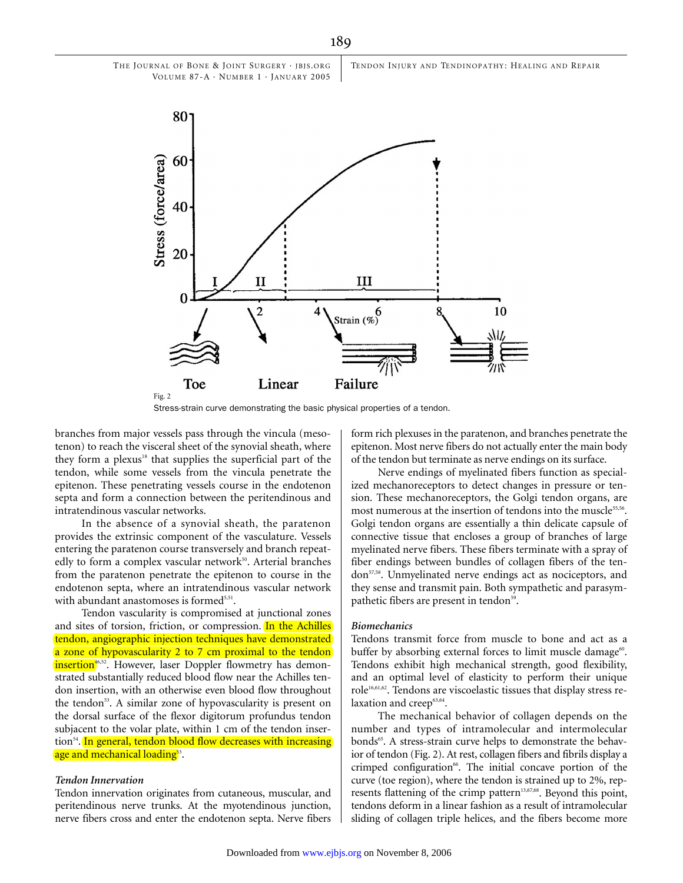TENDON INJURY AND TENDINOPATHY: HEALING AND REPAIR



Stress-strain curve demonstrating the basic physical properties of a tendon.

branches from major vessels pass through the vincula (mesotenon) to reach the visceral sheet of the synovial sheath, where they form a plexus<sup>18</sup> that supplies the superficial part of the tendon, while some vessels from the vincula penetrate the epitenon. These penetrating vessels course in the endotenon septa and form a connection between the peritendinous and intratendinous vascular networks.

In the absence of a synovial sheath, the paratenon provides the extrinsic component of the vasculature. Vessels entering the paratenon course transversely and branch repeatedly to form a complex vascular network $50$ . Arterial branches from the paratenon penetrate the epitenon to course in the endotenon septa, where an intratendinous vascular network with abundant anastomoses is formed<sup>5,51</sup>.

Tendon vascularity is compromised at junctional zones and sites of torsion, friction, or compression. In the Achilles tendon, angiographic injection techniques have demonstrated a zone of hypovascularity 2 to 7 cm proximal to the tendon insertion<sup>16,52</sup>. However, laser Doppler flowmetry has demonstrated substantially reduced blood flow near the Achilles tendon insertion, with an otherwise even blood flow throughout the tendon<sup>53</sup>. A similar zone of hypovascularity is present on the dorsal surface of the flexor digitorum profundus tendon subjacent to the volar plate, within 1 cm of the tendon insertion<sup>54</sup>. In general, tendon blood flow decreases with increasing age and mechanical loading<sup>33</sup>.

# *Tendon Innervation*

Tendon innervation originates from cutaneous, muscular, and peritendinous nerve trunks. At the myotendinous junction, nerve fibers cross and enter the endotenon septa. Nerve fibers form rich plexuses in the paratenon, and branches penetrate the epitenon. Most nerve fibers do not actually enter the main body of the tendon but terminate as nerve endings on its surface.

Nerve endings of myelinated fibers function as specialized mechanoreceptors to detect changes in pressure or tension. These mechanoreceptors, the Golgi tendon organs, are most numerous at the insertion of tendons into the muscle<sup>55,56</sup>. Golgi tendon organs are essentially a thin delicate capsule of connective tissue that encloses a group of branches of large myelinated nerve fibers. These fibers terminate with a spray of fiber endings between bundles of collagen fibers of the tendon<sup>57,58</sup>. Unmyelinated nerve endings act as nociceptors, and they sense and transmit pain. Both sympathetic and parasympathetic fibers are present in tendon<sup>59</sup>.

# *Biomechanics*

Tendons transmit force from muscle to bone and act as a buffer by absorbing external forces to limit muscle damage<sup>60</sup>. Tendons exhibit high mechanical strength, good flexibility, and an optimal level of elasticity to perform their unique role<sup>16,61,62</sup>. Tendons are viscoelastic tissues that display stress relaxation and creep<sup>63,64</sup>.

The mechanical behavior of collagen depends on the number and types of intramolecular and intermolecular bonds<sup>65</sup>. A stress-strain curve helps to demonstrate the behavior of tendon (Fig. 2). At rest, collagen fibers and fibrils display a crimped configuration<sup>66</sup>. The initial concave portion of the curve (toe region), where the tendon is strained up to 2%, represents flattening of the crimp pattern<sup>13,67,68</sup>. Beyond this point, tendons deform in a linear fashion as a result of intramolecular sliding of collagen triple helices, and the fibers become more

189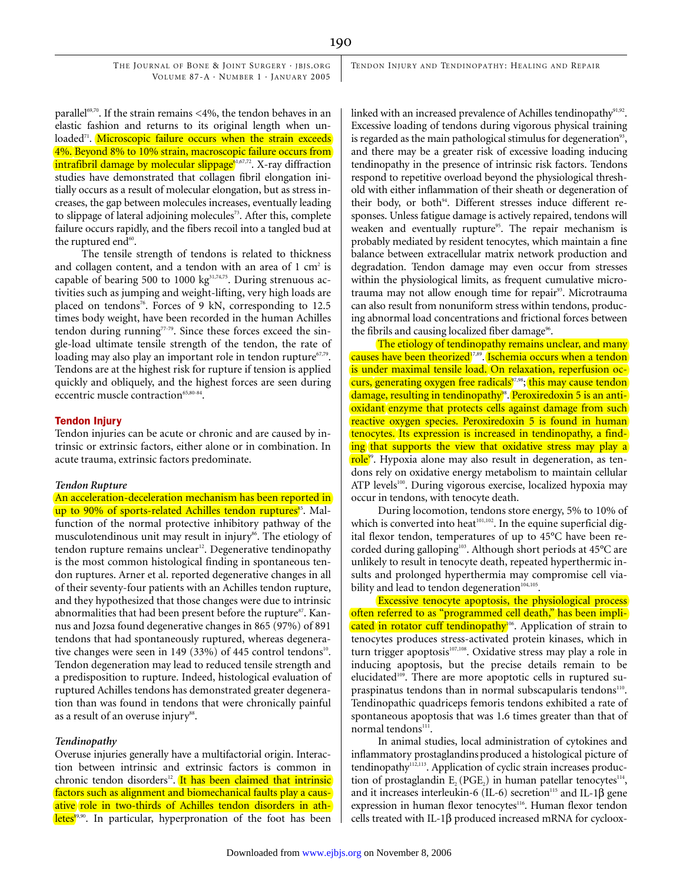TENDON INJURY AND TENDINOPATHY: HEALING AND REPAIR

parallel<sup>69,70</sup>. If the strain remains <4%, the tendon behaves in an elastic fashion and returns to its original length when unloaded<sup>71</sup>. Microscopic failure occurs when the strain exceeds 4%. Beyond 8% to 10% strain, macroscopic failure occurs from intrafibril damage by molecular slippage<sup>51,67,72</sup>. X-ray diffraction studies have demonstrated that collagen fibril elongation initially occurs as a result of molecular elongation, but as stress increases, the gap between molecules increases, eventually leading to slippage of lateral adjoining molecules<sup>73</sup>. After this, complete failure occurs rapidly, and the fibers recoil into a tangled bud at the ruptured end $60$ .

The tensile strength of tendons is related to thickness and collagen content, and a tendon with an area of  $1 \text{ cm}^2$  is capable of bearing 500 to 1000  $kg^{31,74,75}$ . During strenuous activities such as jumping and weight-lifting, very high loads are placed on tendons<sup>76</sup>. Forces of 9 kN, corresponding to  $12.5$ times body weight, have been recorded in the human Achilles tendon during running<sup>77-79</sup>. Since these forces exceed the single-load ultimate tensile strength of the tendon, the rate of loading may also play an important role in tendon rupture $67,79$ . Tendons are at the highest risk for rupture if tension is applied quickly and obliquely, and the highest forces are seen during eccentric muscle contraction $65,80-84$ .

# Tendon Injury

Tendon injuries can be acute or chronic and are caused by intrinsic or extrinsic factors, either alone or in combination. In acute trauma, extrinsic factors predominate.

#### *Tendon Rupture*

An acceleration-deceleration mechanism has been reported in up to 90% of sports-related Achilles tendon ruptures<sup>35</sup>. Malfunction of the normal protective inhibitory pathway of the musculotendinous unit may result in injury<sup>86</sup>. The etiology of tendon rupture remains unclear<sup>12</sup>. Degenerative tendinopathy is the most common histological finding in spontaneous tendon ruptures. Arner et al. reported degenerative changes in all of their seventy-four patients with an Achilles tendon rupture, and they hypothesized that those changes were due to intrinsic abnormalities that had been present before the rupture<sup>87</sup>. Kannus and Jozsa found degenerative changes in 865 (97%) of 891 tendons that had spontaneously ruptured, whereas degenerative changes were seen in 149 (33%) of 445 control tendons<sup>10</sup>. Tendon degeneration may lead to reduced tensile strength and a predisposition to rupture. Indeed, histological evaluation of ruptured Achilles tendons has demonstrated greater degeneration than was found in tendons that were chronically painful as a result of an overuse injury<sup>88</sup>.

# *Tendinopathy*

Overuse injuries generally have a multifactorial origin. Interaction between intrinsic and extrinsic factors is common in chronic tendon disorders<sup>12</sup>. It has been claimed that intrinsic factors such as alignment and biomechanical faults play a causative role in two-thirds of Achilles tendon disorders in athletes<sup>89,90</sup>. In particular, hyperpronation of the foot has been linked with an increased prevalence of Achilles tendinopathy<sup>91,92</sup>. Excessive loading of tendons during vigorous physical training is regarded as the main pathological stimulus for degeneration<sup>93</sup>, and there may be a greater risk of excessive loading inducing tendinopathy in the presence of intrinsic risk factors. Tendons respond to repetitive overload beyond the physiological threshold with either inflammation of their sheath or degeneration of their body, or both<sup>94</sup>. Different stresses induce different responses. Unless fatigue damage is actively repaired, tendons will weaken and eventually rupture<sup>95</sup>. The repair mechanism is probably mediated by resident tenocytes, which maintain a fine balance between extracellular matrix network production and degradation. Tendon damage may even occur from stresses within the physiological limits, as frequent cumulative microtrauma may not allow enough time for repair<sup>93</sup>. Microtrauma can also result from nonuniform stress within tendons, producing abnormal load concentrations and frictional forces between the fibrils and causing localized fiber damage<sup>96</sup>.

The etiology of tendinopathy remains unclear, and many causes have been theorized<sup>17,89</sup>. Ischemia occurs when a tendon is under maximal tensile load. On relaxation, reperfusion occurs, generating oxygen free radicals<sup>77,98</sup>; this may cause tendon damage, resulting in tendinopathy<sup>8</sup>. Peroxiredoxin 5 is an antioxidant enzyme that protects cells against damage from such reactive oxygen species. Peroxiredoxin 5 is found in human tenocytes. Its expression is increased in tendinopathy, a finding that supports the view that oxidative stress may play a role<sup>99</sup>. Hypoxia alone may also result in degeneration, as tendons rely on oxidative energy metabolism to maintain cellular ATP levels<sup>100</sup>. During vigorous exercise, localized hypoxia may occur in tendons, with tenocyte death.

During locomotion, tendons store energy, 5% to 10% of which is converted into heat<sup>101,102</sup>. In the equine superficial digital flexor tendon, temperatures of up to 45°C have been recorded during galloping<sup>103</sup>. Although short periods at 45°C are unlikely to result in tenocyte death, repeated hyperthermic insults and prolonged hyperthermia may compromise cell viability and lead to tendon degeneration<sup>104,105</sup>.

Excessive tenocyte apoptosis, the physiological process often referred to as "programmed cell death," has been implicated in rotator cuff tendinopathy<sup>106</sup>. Application of strain to tenocytes produces stress-activated protein kinases, which in turn trigger apoptosis<sup>107,108</sup>. Oxidative stress may play a role in inducing apoptosis, but the precise details remain to be elucidated<sup>109</sup>. There are more apoptotic cells in ruptured supraspinatus tendons than in normal subscapularis tendons<sup>110</sup>. Tendinopathic quadriceps femoris tendons exhibited a rate of spontaneous apoptosis that was 1.6 times greater than that of normal tendons<sup>111</sup>.

In animal studies, local administration of cytokines and inflammatory prostaglandins produced a histological picture of tendinopathy<sup>112,113</sup>. Application of cyclic strain increases production of prostaglandin  $E_2(PGE_2)$  in human patellar tenocytes<sup>114</sup>, and it increases interleukin-6 (IL-6) secretion<sup>115</sup> and IL-1 $\beta$  gene expression in human flexor tenocytes<sup>116</sup>. Human flexor tendon cells treated with IL-1β produced increased mRNA for cycloox-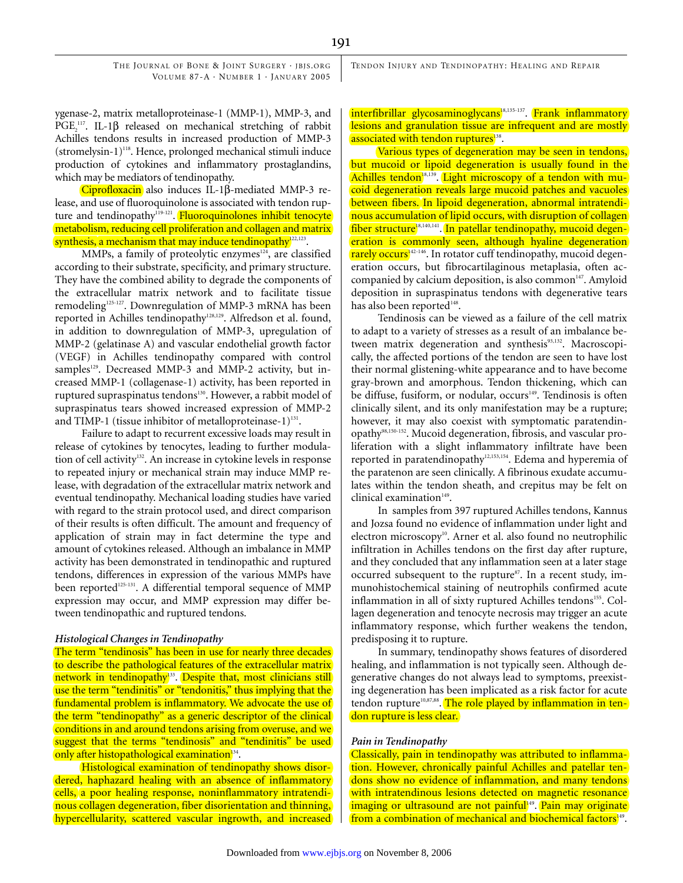ygenase-2, matrix metalloproteinase-1 (MMP-1), MMP-3, and PGE<sup>117</sup>. IL-1 $\beta$  released on mechanical stretching of rabbit Achilles tendons results in increased production of MMP-3 (stromelysin-1)<sup>118</sup>. Hence, prolonged mechanical stimuli induce production of cytokines and inflammatory prostaglandins, which may be mediators of tendinopathy.

Ciprofloxacin also induces IL-1β-mediated MMP-3 release, and use of fluoroquinolone is associated with tendon rupture and tendinopathy<sup>119-121</sup>. Fluoroquinolones inhibit tenocyte metabolism, reducing cell proliferation and collagen and matrix synthesis, a mechanism that may induce tendinopathy $^{122,123}$ .

MMPs, a family of proteolytic enzymes $124$ , are classified according to their substrate, specificity, and primary structure. They have the combined ability to degrade the components of the extracellular matrix network and to facilitate tissue remodeling<sup>125-127</sup>. Downregulation of MMP-3 mRNA has been reported in Achilles tendinopathy<sup>128,129</sup>. Alfredson et al. found, in addition to downregulation of MMP-3, upregulation of MMP-2 (gelatinase A) and vascular endothelial growth factor (VEGF) in Achilles tendinopathy compared with control samples<sup>129</sup>. Decreased MMP-3 and MMP-2 activity, but increased MMP-1 (collagenase-1) activity, has been reported in ruptured supraspinatus tendons<sup>130</sup>. However, a rabbit model of supraspinatus tears showed increased expression of MMP-2 and TIMP-1 (tissue inhibitor of metalloproteinase-1) $^{131}$ .

Failure to adapt to recurrent excessive loads may result in release of cytokines by tenocytes, leading to further modulation of cell activity<sup>132</sup>. An increase in cytokine levels in response to repeated injury or mechanical strain may induce MMP release, with degradation of the extracellular matrix network and eventual tendinopathy. Mechanical loading studies have varied with regard to the strain protocol used, and direct comparison of their results is often difficult. The amount and frequency of application of strain may in fact determine the type and amount of cytokines released. Although an imbalance in MMP activity has been demonstrated in tendinopathic and ruptured tendons, differences in expression of the various MMPs have been reported<sup>125-131</sup>. A differential temporal sequence of MMP expression may occur, and MMP expression may differ between tendinopathic and ruptured tendons.

#### *Histological Changes in Tendinopathy*

The term "tendinosis" has been in use for nearly three decades to describe the pathological features of the extracellular matrix network in tendinopathy<sup>133</sup>. Despite that, most clinicians still use the term "tendinitis" or "tendonitis," thus implying that the fundamental problem is inflammatory. We advocate the use of the term "tendinopathy" as a generic descriptor of the clinical conditions in and around tendons arising from overuse, and we suggest that the terms "tendinosis" and "tendinitis" be used only after histopathological examination<sup>34</sup>.

Histological examination of tendinopathy shows disordered, haphazard healing with an absence of inflammatory cells, a poor healing response, noninflammatory intratendinous collagen degeneration, fiber disorientation and thinning, hypercellularity, scattered vascular ingrowth, and increased TENDON INJURY AND TENDINOPATHY: HEALING AND REPAIR

 $interfibrillar glycosaminoglycans<sup>18,135-137</sup>. Frank inflammatory$ lesions and granulation tissue are infrequent and are mostly associated with tendon ruptures<sup>138</sup>.

Various types of degeneration may be seen in tendons, but mucoid or lipoid degeneration is usually found in the Achilles tendon<sup>18,139</sup>. Light microscopy of a tendon with mucoid degeneration reveals large mucoid patches and vacuoles between fibers. In lipoid degeneration, abnormal intratendinous accumulation of lipid occurs, with disruption of collagen  $fiber$  structure<sup>18,140,141</sup>. In patellar tendinopathy, mucoid degeneration is commonly seen, although hyaline degeneration rarely occurs<sup>142-146</sup>. In rotator cuff tendinopathy, mucoid degeneration occurs, but fibrocartilaginous metaplasia, often accompanied by calcium deposition, is also common<sup>147</sup>. Amyloid deposition in supraspinatus tendons with degenerative tears has also been reported<sup>148</sup>.

Tendinosis can be viewed as a failure of the cell matrix to adapt to a variety of stresses as a result of an imbalance between matrix degeneration and synthesis<sup>93,132</sup>. Macroscopically, the affected portions of the tendon are seen to have lost their normal glistening-white appearance and to have become gray-brown and amorphous. Tendon thickening, which can be diffuse, fusiform, or nodular, occurs<sup>149</sup>. Tendinosis is often clinically silent, and its only manifestation may be a rupture; however, it may also coexist with symptomatic paratendinopathy98,150-152. Mucoid degeneration, fibrosis, and vascular proliferation with a slight inflammatory infiltrate have been reported in paratendinopathy<sup>12,153,154</sup>. Edema and hyperemia of the paratenon are seen clinically. A fibrinous exudate accumulates within the tendon sheath, and crepitus may be felt on clinical examination<sup>149</sup>.

In samples from 397 ruptured Achilles tendons, Kannus and Jozsa found no evidence of inflammation under light and electron microscopy<sup>10</sup>. Arner et al. also found no neutrophilic infiltration in Achilles tendons on the first day after rupture, and they concluded that any inflammation seen at a later stage occurred subsequent to the rupture $87$ . In a recent study, immunohistochemical staining of neutrophils confirmed acute inflammation in all of sixty ruptured Achilles tendons<sup>155</sup>. Collagen degeneration and tenocyte necrosis may trigger an acute inflammatory response, which further weakens the tendon, predisposing it to rupture.

In summary, tendinopathy shows features of disordered healing, and inflammation is not typically seen. Although degenerative changes do not always lead to symptoms, preexisting degeneration has been implicated as a risk factor for acute tendon rupture<sup>10,87,88</sup>. The role played by inflammation in tendon rupture is less clear.

# *Pain in Tendinopathy*

Classically, pain in tendinopathy was attributed to inflammation. However, chronically painful Achilles and patellar tendons show no evidence of inflammation, and many tendons with intratendinous lesions detected on magnetic resonance imaging or ultrasound are not painful<sup>149</sup>. Pain may originate from a combination of mechanical and biochemical factors<sup>149</sup>.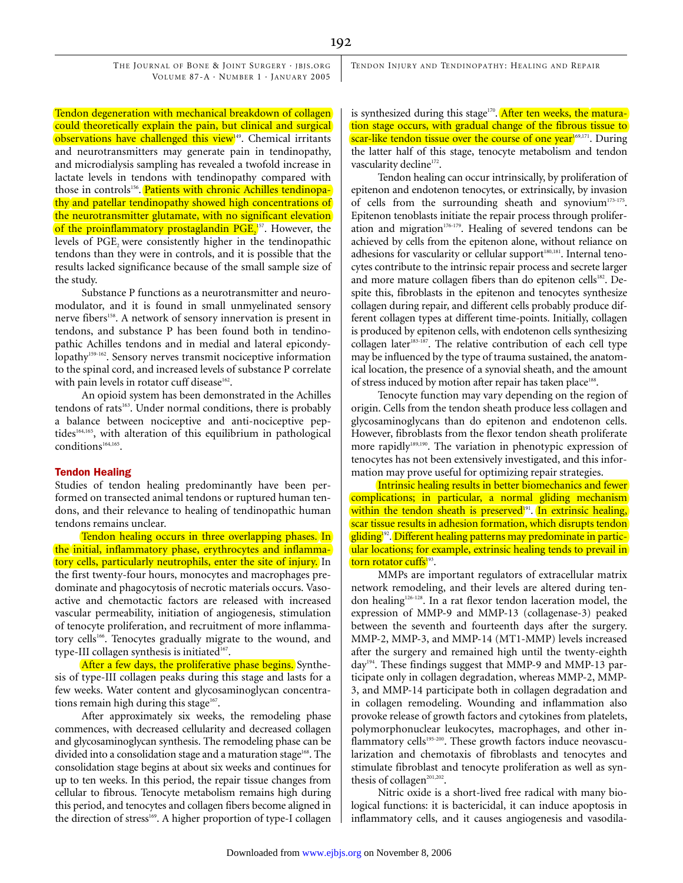Tendon degeneration with mechanical breakdown of collagen could theoretically explain the pain, but clinical and surgical observations have challenged this view<sup>149</sup>. Chemical irritants and neurotransmitters may generate pain in tendinopathy, and microdialysis sampling has revealed a twofold increase in lactate levels in tendons with tendinopathy compared with those in controls<sup>156</sup>. Patients with chronic Achilles tendinopathy and patellar tendinopathy showed high concentrations of the neurotransmitter glutamate, with no significant elevation of the proinflammatory prostaglandin PGE.<sup>157</sup>. However, the levels of PGE, were consistently higher in the tendinopathic tendons than they were in controls, and it is possible that the results lacked significance because of the small sample size of the study.

Substance P functions as a neurotransmitter and neuromodulator, and it is found in small unmyelinated sensory nerve fibers<sup>158</sup>. A network of sensory innervation is present in tendons, and substance P has been found both in tendinopathic Achilles tendons and in medial and lateral epicondylopathy<sup>159-162</sup>. Sensory nerves transmit nociceptive information to the spinal cord, and increased levels of substance P correlate with pain levels in rotator cuff disease<sup>162</sup>.

An opioid system has been demonstrated in the Achilles tendons of rats<sup>163</sup>. Under normal conditions, there is probably a balance between nociceptive and anti-nociceptive peptides<sup>164,165</sup>, with alteration of this equilibrium in pathological conditions<sup>164,165</sup>.

#### Tendon Healing

Studies of tendon healing predominantly have been performed on transected animal tendons or ruptured human tendons, and their relevance to healing of tendinopathic human tendons remains unclear.

Tendon healing occurs in three overlapping phases. In the initial, inflammatory phase, erythrocytes and inflammatory cells, particularly neutrophils, enter the site of injury. In the first twenty-four hours, monocytes and macrophages predominate and phagocytosis of necrotic materials occurs. Vasoactive and chemotactic factors are released with increased vascular permeability, initiation of angiogenesis, stimulation of tenocyte proliferation, and recruitment of more inflammatory cells<sup>166</sup>. Tenocytes gradually migrate to the wound, and type-III collagen synthesis is initiated<sup>167</sup>.

After a few days, the proliferative phase begins. Synthesis of type-III collagen peaks during this stage and lasts for a few weeks. Water content and glycosaminoglycan concentrations remain high during this stage $167$ .

After approximately six weeks, the remodeling phase commences, with decreased cellularity and decreased collagen and glycosaminoglycan synthesis. The remodeling phase can be divided into a consolidation stage and a maturation stage<sup>168</sup>. The consolidation stage begins at about six weeks and continues for up to ten weeks. In this period, the repair tissue changes from cellular to fibrous. Tenocyte metabolism remains high during this period, and tenocytes and collagen fibers become aligned in the direction of stress<sup>169</sup>. A higher proportion of type-I collagen is synthesized during this stage<sup>170</sup>. After ten weeks, the maturation stage occurs, with gradual change of the fibrous tissue to scar-like tendon tissue over the course of one year<sup> $169,171$ </sup>. During the latter half of this stage, tenocyte metabolism and tendon vascularity decline<sup>172</sup>.

Tendon healing can occur intrinsically, by proliferation of epitenon and endotenon tenocytes, or extrinsically, by invasion of cells from the surrounding sheath and synovium $173-175$ . Epitenon tenoblasts initiate the repair process through proliferation and migration $176-179$ . Healing of severed tendons can be achieved by cells from the epitenon alone, without reliance on adhesions for vascularity or cellular support<sup>180,181</sup>. Internal tenocytes contribute to the intrinsic repair process and secrete larger and more mature collagen fibers than do epitenon cells<sup>182</sup>. Despite this, fibroblasts in the epitenon and tenocytes synthesize collagen during repair, and different cells probably produce different collagen types at different time-points. Initially, collagen is produced by epitenon cells, with endotenon cells synthesizing collagen later<sup>183-187</sup>. The relative contribution of each cell type may be influenced by the type of trauma sustained, the anatomical location, the presence of a synovial sheath, and the amount of stress induced by motion after repair has taken place<sup>188</sup>.

Tenocyte function may vary depending on the region of origin. Cells from the tendon sheath produce less collagen and glycosaminoglycans than do epitenon and endotenon cells. However, fibroblasts from the flexor tendon sheath proliferate more rapidly<sup>189,190</sup>. The variation in phenotypic expression of tenocytes has not been extensively investigated, and this information may prove useful for optimizing repair strategies.

Intrinsic healing results in better biomechanics and fewer complications; in particular, a normal gliding mechanism within the tendon sheath is preserved $\frac{1}{2}$ . In extrinsic healing, scar tissue results in adhesion formation, which disrupts tendon gliding<sup>192</sup>. Different healing patterns may predominate in particular locations; for example, extrinsic healing tends to prevail in torn rotator cuffs<sup>193</sup>.

MMPs are important regulators of extracellular matrix network remodeling, and their levels are altered during tendon healing<sup>126-128</sup>. In a rat flexor tendon laceration model, the expression of MMP-9 and MMP-13 (collagenase-3) peaked between the seventh and fourteenth days after the surgery. MMP-2, MMP-3, and MMP-14 (MT1-MMP) levels increased after the surgery and remained high until the twenty-eighth day194. These findings suggest that MMP-9 and MMP-13 participate only in collagen degradation, whereas MMP-2, MMP-3, and MMP-14 participate both in collagen degradation and in collagen remodeling. Wounding and inflammation also provoke release of growth factors and cytokines from platelets, polymorphonuclear leukocytes, macrophages, and other inflammatory cells<sup>195-200</sup>. These growth factors induce neovascularization and chemotaxis of fibroblasts and tenocytes and stimulate fibroblast and tenocyte proliferation as well as synthesis of collagen<sup>201,202</sup>.

Nitric oxide is a short-lived free radical with many biological functions: it is bactericidal, it can induce apoptosis in inflammatory cells, and it causes angiogenesis and vasodila-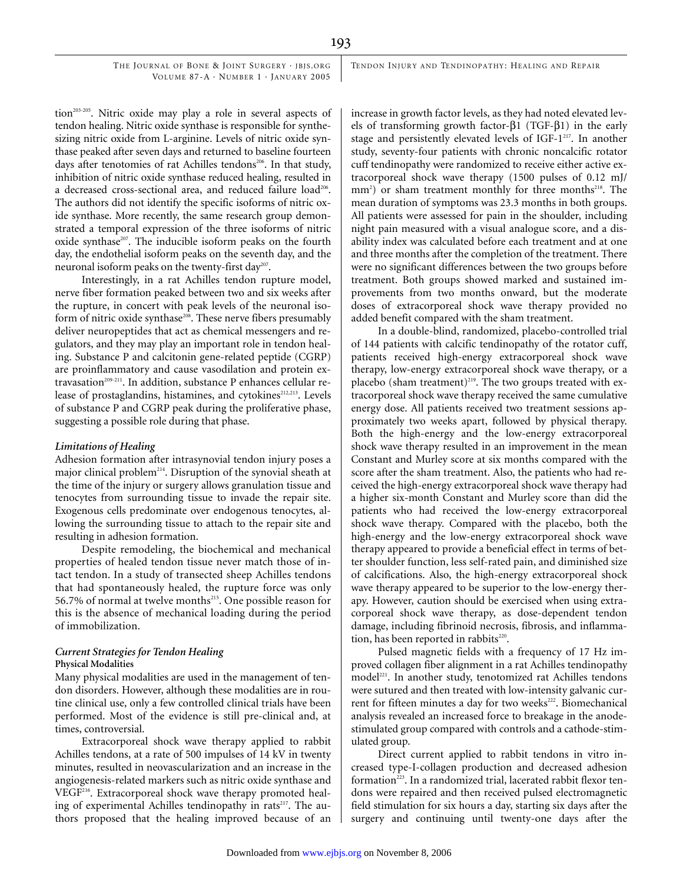TENDON INJURY AND TENDINOPATHY: HEALING AND REPAIR

tion<sup>203-205</sup>. Nitric oxide may play a role in several aspects of tendon healing. Nitric oxide synthase is responsible for synthesizing nitric oxide from L-arginine. Levels of nitric oxide synthase peaked after seven days and returned to baseline fourteen days after tenotomies of rat Achilles tendons<sup>206</sup>. In that study, inhibition of nitric oxide synthase reduced healing, resulted in a decreased cross-sectional area, and reduced failure load<sup>206</sup>. The authors did not identify the specific isoforms of nitric oxide synthase. More recently, the same research group demonstrated a temporal expression of the three isoforms of nitric oxide synthase $207$ . The inducible isoform peaks on the fourth day, the endothelial isoform peaks on the seventh day, and the neuronal isoform peaks on the twenty-first day<sup>207</sup>.

Interestingly, in a rat Achilles tendon rupture model, nerve fiber formation peaked between two and six weeks after the rupture, in concert with peak levels of the neuronal isoform of nitric oxide synthase<sup>208</sup>. These nerve fibers presumably deliver neuropeptides that act as chemical messengers and regulators, and they may play an important role in tendon healing. Substance P and calcitonin gene-related peptide (CGRP) are proinflammatory and cause vasodilation and protein extravasation<sup>209-211</sup>. In addition, substance P enhances cellular release of prostaglandins, histamines, and cytokines<sup>212,213</sup>. Levels of substance P and CGRP peak during the proliferative phase, suggesting a possible role during that phase.

#### *Limitations of Healing*

Adhesion formation after intrasynovial tendon injury poses a major clinical problem<sup>214</sup>. Disruption of the synovial sheath at the time of the injury or surgery allows granulation tissue and tenocytes from surrounding tissue to invade the repair site. Exogenous cells predominate over endogenous tenocytes, allowing the surrounding tissue to attach to the repair site and resulting in adhesion formation.

Despite remodeling, the biochemical and mechanical properties of healed tendon tissue never match those of intact tendon. In a study of transected sheep Achilles tendons that had spontaneously healed, the rupture force was only 56.7% of normal at twelve months<sup>215</sup>. One possible reason for this is the absence of mechanical loading during the period of immobilization.

# *Current Strategies for Tendon Healing* **Physical Modalities**

Many physical modalities are used in the management of tendon disorders. However, although these modalities are in routine clinical use, only a few controlled clinical trials have been performed. Most of the evidence is still pre-clinical and, at times, controversial.

Extracorporeal shock wave therapy applied to rabbit Achilles tendons, at a rate of 500 impulses of 14 kV in twenty minutes, resulted in neovascularization and an increase in the angiogenesis-related markers such as nitric oxide synthase and VEGF216. Extracorporeal shock wave therapy promoted healing of experimental Achilles tendinopathy in rats<sup>217</sup>. The authors proposed that the healing improved because of an increase in growth factor levels, as they had noted elevated levels of transforming growth factor-β1 (TGF-β1) in the early stage and persistently elevated levels of IGF-1217. In another study, seventy-four patients with chronic noncalcific rotator cuff tendinopathy were randomized to receive either active extracorporeal shock wave therapy (1500 pulses of 0.12 mJ/ mm<sup>2</sup>) or sham treatment monthly for three months<sup>218</sup>. The mean duration of symptoms was 23.3 months in both groups. All patients were assessed for pain in the shoulder, including night pain measured with a visual analogue score, and a disability index was calculated before each treatment and at one and three months after the completion of the treatment. There were no significant differences between the two groups before treatment. Both groups showed marked and sustained improvements from two months onward, but the moderate doses of extracorporeal shock wave therapy provided no added benefit compared with the sham treatment.

In a double-blind, randomized, placebo-controlled trial of 144 patients with calcific tendinopathy of the rotator cuff, patients received high-energy extracorporeal shock wave therapy, low-energy extracorporeal shock wave therapy, or a placebo (sham treatment)<sup>219</sup>. The two groups treated with extracorporeal shock wave therapy received the same cumulative energy dose. All patients received two treatment sessions approximately two weeks apart, followed by physical therapy. Both the high-energy and the low-energy extracorporeal shock wave therapy resulted in an improvement in the mean Constant and Murley score at six months compared with the score after the sham treatment. Also, the patients who had received the high-energy extracorporeal shock wave therapy had a higher six-month Constant and Murley score than did the patients who had received the low-energy extracorporeal shock wave therapy. Compared with the placebo, both the high-energy and the low-energy extracorporeal shock wave therapy appeared to provide a beneficial effect in terms of better shoulder function, less self-rated pain, and diminished size of calcifications. Also, the high-energy extracorporeal shock wave therapy appeared to be superior to the low-energy therapy. However, caution should be exercised when using extracorporeal shock wave therapy, as dose-dependent tendon damage, including fibrinoid necrosis, fibrosis, and inflammation, has been reported in rabbits<sup>220</sup>.

Pulsed magnetic fields with a frequency of 17 Hz improved collagen fiber alignment in a rat Achilles tendinopathy model<sup>221</sup>. In another study, tenotomized rat Achilles tendons were sutured and then treated with low-intensity galvanic current for fifteen minutes a day for two weeks<sup>222</sup>. Biomechanical analysis revealed an increased force to breakage in the anodestimulated group compared with controls and a cathode-stimulated group.

Direct current applied to rabbit tendons in vitro increased type-I-collagen production and decreased adhesion formation<sup>223</sup>. In a randomized trial, lacerated rabbit flexor tendons were repaired and then received pulsed electromagnetic field stimulation for six hours a day, starting six days after the surgery and continuing until twenty-one days after the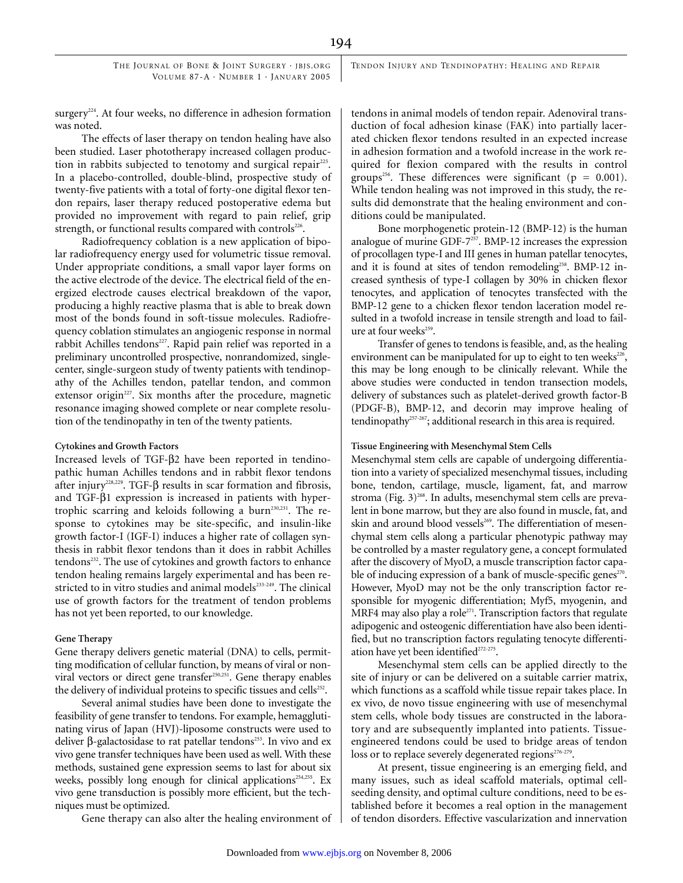TENDON INJURY AND TENDINOPATHY: HEALING AND REPAIR

surgery<sup>224</sup>. At four weeks, no difference in adhesion formation was noted.

The effects of laser therapy on tendon healing have also been studied. Laser phototherapy increased collagen production in rabbits subjected to tenotomy and surgical repair<sup>225</sup>. In a placebo-controlled, double-blind, prospective study of twenty-five patients with a total of forty-one digital flexor tendon repairs, laser therapy reduced postoperative edema but provided no improvement with regard to pain relief, grip strength, or functional results compared with controls<sup>226</sup>.

Radiofrequency coblation is a new application of bipolar radiofrequency energy used for volumetric tissue removal. Under appropriate conditions, a small vapor layer forms on the active electrode of the device. The electrical field of the energized electrode causes electrical breakdown of the vapor, producing a highly reactive plasma that is able to break down most of the bonds found in soft-tissue molecules. Radiofrequency coblation stimulates an angiogenic response in normal rabbit Achilles tendons<sup>227</sup>. Rapid pain relief was reported in a preliminary uncontrolled prospective, nonrandomized, singlecenter, single-surgeon study of twenty patients with tendinopathy of the Achilles tendon, patellar tendon, and common extensor origin<sup>227</sup>. Six months after the procedure, magnetic resonance imaging showed complete or near complete resolution of the tendinopathy in ten of the twenty patients.

### **Cytokines and Growth Factors**

Increased levels of TGF-β2 have been reported in tendinopathic human Achilles tendons and in rabbit flexor tendons after injury<sup>228,229</sup>. TGF- $\beta$  results in scar formation and fibrosis, and TGF-β1 expression is increased in patients with hypertrophic scarring and keloids following a burn<sup>230,231</sup>. The response to cytokines may be site-specific, and insulin-like growth factor-I (IGF-I) induces a higher rate of collagen synthesis in rabbit flexor tendons than it does in rabbit Achilles tendons<sup>232</sup>. The use of cytokines and growth factors to enhance tendon healing remains largely experimental and has been restricted to in vitro studies and animal models<sup>233-249</sup>. The clinical use of growth factors for the treatment of tendon problems has not yet been reported, to our knowledge.

### **Gene Therapy**

Gene therapy delivers genetic material (DNA) to cells, permitting modification of cellular function, by means of viral or nonviral vectors or direct gene transfer<sup>250,251</sup>. Gene therapy enables the delivery of individual proteins to specific tissues and cells<sup>252</sup>.

Several animal studies have been done to investigate the feasibility of gene transfer to tendons. For example, hemagglutinating virus of Japan (HVJ)-liposome constructs were used to deliver β-galactosidase to rat patellar tendons<sup>253</sup>. In vivo and ex vivo gene transfer techniques have been used as well. With these methods, sustained gene expression seems to last for about six weeks, possibly long enough for clinical applications<sup>254,255</sup>. Ex vivo gene transduction is possibly more efficient, but the techniques must be optimized.

Gene therapy can also alter the healing environment of

tendons in animal models of tendon repair. Adenoviral transduction of focal adhesion kinase (FAK) into partially lacerated chicken flexor tendons resulted in an expected increase in adhesion formation and a twofold increase in the work required for flexion compared with the results in control groups<sup>256</sup>. These differences were significant ( $p = 0.001$ ). While tendon healing was not improved in this study, the results did demonstrate that the healing environment and conditions could be manipulated.

Bone morphogenetic protein-12 (BMP-12) is the human analogue of murine GDF-7<sup>257</sup>. BMP-12 increases the expression of procollagen type-I and III genes in human patellar tenocytes, and it is found at sites of tendon remodeling<sup>258</sup>. BMP-12 increased synthesis of type-I collagen by 30% in chicken flexor tenocytes, and application of tenocytes transfected with the BMP-12 gene to a chicken flexor tendon laceration model resulted in a twofold increase in tensile strength and load to failure at four weeks<sup>259</sup>.

Transfer of genes to tendons is feasible, and, as the healing environment can be manipulated for up to eight to ten weeks<sup>226</sup>, this may be long enough to be clinically relevant. While the above studies were conducted in tendon transection models, delivery of substances such as platelet-derived growth factor-B (PDGF-B), BMP-12, and decorin may improve healing of tendinopathy<sup>257-267</sup>; additional research in this area is required.

#### **Tissue Engineering with Mesenchymal Stem Cells**

Mesenchymal stem cells are capable of undergoing differentiation into a variety of specialized mesenchymal tissues, including bone, tendon, cartilage, muscle, ligament, fat, and marrow stroma (Fig.  $3)^{268}$ . In adults, mesenchymal stem cells are prevalent in bone marrow, but they are also found in muscle, fat, and skin and around blood vessels<sup>269</sup>. The differentiation of mesenchymal stem cells along a particular phenotypic pathway may be controlled by a master regulatory gene, a concept formulated after the discovery of MyoD, a muscle transcription factor capable of inducing expression of a bank of muscle-specific genes<sup>270</sup>. However, MyoD may not be the only transcription factor responsible for myogenic differentiation; Myf5, myogenin, and MRF4 may also play a role<sup>271</sup>. Transcription factors that regulate adipogenic and osteogenic differentiation have also been identified, but no transcription factors regulating tenocyte differentiation have yet been identified<sup>272-275</sup>.

Mesenchymal stem cells can be applied directly to the site of injury or can be delivered on a suitable carrier matrix, which functions as a scaffold while tissue repair takes place. In ex vivo, de novo tissue engineering with use of mesenchymal stem cells, whole body tissues are constructed in the laboratory and are subsequently implanted into patients. Tissueengineered tendons could be used to bridge areas of tendon loss or to replace severely degenerated regions<sup>276-279</sup>.

At present, tissue engineering is an emerging field, and many issues, such as ideal scaffold materials, optimal cellseeding density, and optimal culture conditions, need to be established before it becomes a real option in the management of tendon disorders. Effective vascularization and innervation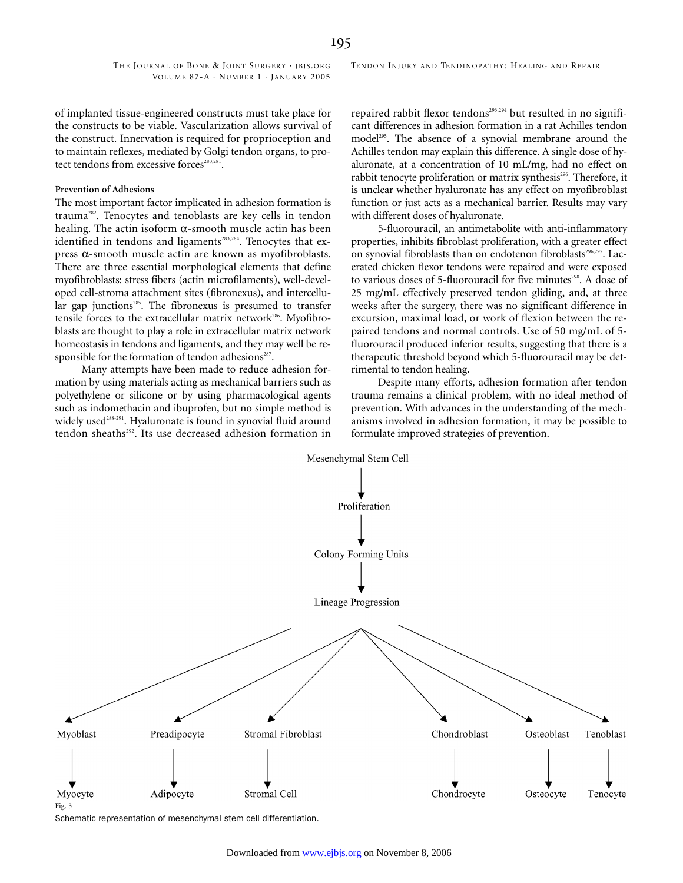of implanted tissue-engineered constructs must take place for the constructs to be viable. Vascularization allows survival of the construct. Innervation is required for proprioception and to maintain reflexes, mediated by Golgi tendon organs, to protect tendons from excessive forces<sup>280,281</sup>.

# **Prevention of Adhesions**

The most important factor implicated in adhesion formation is trauma<sup>282</sup>. Tenocytes and tenoblasts are key cells in tendon healing. The actin isoform  $\alpha$ -smooth muscle actin has been identified in tendons and ligaments<sup>283,284</sup>. Tenocytes that express α-smooth muscle actin are known as myofibroblasts. There are three essential morphological elements that define myofibroblasts: stress fibers (actin microfilaments), well-developed cell-stroma attachment sites (fibronexus), and intercellular gap junctions<sup>285</sup>. The fibronexus is presumed to transfer tensile forces to the extracellular matrix network<sup>286</sup>. Myofibroblasts are thought to play a role in extracellular matrix network homeostasis in tendons and ligaments, and they may well be responsible for the formation of tendon adhesions<sup>287</sup>.

Many attempts have been made to reduce adhesion formation by using materials acting as mechanical barriers such as polyethylene or silicone or by using pharmacological agents such as indomethacin and ibuprofen, but no simple method is widely used<sup>288-291</sup>. Hyaluronate is found in synovial fluid around tendon sheaths<sup>292</sup>. Its use decreased adhesion formation in repaired rabbit flexor tendons<sup>293,294</sup> but resulted in no significant differences in adhesion formation in a rat Achilles tendon model<sup>295</sup>. The absence of a synovial membrane around the Achilles tendon may explain this difference. A single dose of hyaluronate, at a concentration of 10 mL/mg, had no effect on rabbit tenocyte proliferation or matrix synthesis<sup>296</sup>. Therefore, it is unclear whether hyaluronate has any effect on myofibroblast function or just acts as a mechanical barrier. Results may vary with different doses of hyaluronate.

5-fluorouracil, an antimetabolite with anti-inflammatory properties, inhibits fibroblast proliferation, with a greater effect on synovial fibroblasts than on endotenon fibroblasts<sup>296,297</sup>. Lacerated chicken flexor tendons were repaired and were exposed to various doses of 5-fluorouracil for five minutes<sup>298</sup>. A dose of 25 mg/mL effectively preserved tendon gliding, and, at three weeks after the surgery, there was no significant difference in excursion, maximal load, or work of flexion between the repaired tendons and normal controls. Use of 50 mg/mL of 5 fluorouracil produced inferior results, suggesting that there is a therapeutic threshold beyond which 5-fluorouracil may be detrimental to tendon healing.

Despite many efforts, adhesion formation after tendon trauma remains a clinical problem, with no ideal method of prevention. With advances in the understanding of the mechanisms involved in adhesion formation, it may be possible to formulate improved strategies of prevention.



Fig. 3

Schematic representation of mesenchymal stem cell differentiation.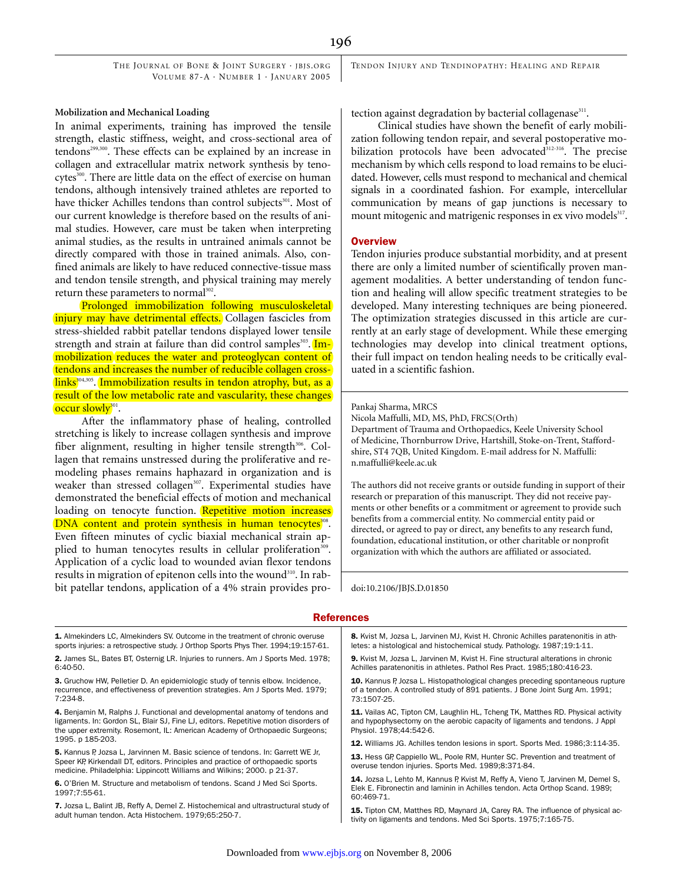#### **Mobilization and Mechanical Loading**

In animal experiments, training has improved the tensile strength, elastic stiffness, weight, and cross-sectional area of tendons<sup>299,300</sup>. These effects can be explained by an increase in collagen and extracellular matrix network synthesis by tenocytes<sup>300</sup>. There are little data on the effect of exercise on human tendons, although intensively trained athletes are reported to have thicker Achilles tendons than control subjects<sup>301</sup>. Most of our current knowledge is therefore based on the results of animal studies. However, care must be taken when interpreting animal studies, as the results in untrained animals cannot be directly compared with those in trained animals. Also, confined animals are likely to have reduced connective-tissue mass and tendon tensile strength, and physical training may merely return these parameters to normal<sup>302</sup>.

Prolonged immobilization following musculoskeletal injury may have detrimental effects. Collagen fascicles from stress-shielded rabbit patellar tendons displayed lower tensile strength and strain at failure than did control samples<sup>303</sup>. Immobilization reduces the water and proteoglycan content of tendons and increases the number of reducible collagen crosslinks<sup>304,305</sup>. Immobilization results in tendon atrophy, but, as a result of the low metabolic rate and vascularity, these changes occur slowly<sup>301</sup>.

After the inflammatory phase of healing, controlled stretching is likely to increase collagen synthesis and improve fiber alignment, resulting in higher tensile strength<sup>306</sup>. Collagen that remains unstressed during the proliferative and remodeling phases remains haphazard in organization and is weaker than stressed collagen<sup>307</sup>. Experimental studies have demonstrated the beneficial effects of motion and mechanical loading on tenocyte function. Repetitive motion increases DNA content and protein synthesis in human tenocytes<sup>308</sup>. Even fifteen minutes of cyclic biaxial mechanical strain applied to human tenocytes results in cellular proliferation<sup>309</sup>. Application of a cyclic load to wounded avian flexor tendons results in migration of epitenon cells into the wound<sup>310</sup>. In rabbit patellar tendons, application of a 4% strain provides protection against degradation by bacterial collagenase<sup>311</sup>.

TENDON INJURY AND TENDINOPATHY: HEALING AND REPAIR

Clinical studies have shown the benefit of early mobilization following tendon repair, and several postoperative mobilization protocols have been advocated<sup>312-316</sup>. The precise mechanism by which cells respond to load remains to be elucidated. However, cells must respond to mechanical and chemical signals in a coordinated fashion. For example, intercellular communication by means of gap junctions is necessary to mount mitogenic and matrigenic responses in ex vivo models<sup>317</sup>.

#### **Overview**

Tendon injuries produce substantial morbidity, and at present there are only a limited number of scientifically proven management modalities. A better understanding of tendon function and healing will allow specific treatment strategies to be developed. Many interesting techniques are being pioneered. The optimization strategies discussed in this article are currently at an early stage of development. While these emerging technologies may develop into clinical treatment options, their full impact on tendon healing needs to be critically evaluated in a scientific fashion.

Pankaj Sharma, MRCS

Nicola Maffulli, MD, MS, PhD, FRCS(Orth) Department of Trauma and Orthopaedics, Keele University School of Medicine, Thornburrow Drive, Hartshill, Stoke-on-Trent, Staffordshire, ST4 7QB, United Kingdom. E-mail address for N. Maffulli: n.maffulli@keele.ac.uk

The authors did not receive grants or outside funding in support of their research or preparation of this manuscript. They did not receive payments or other benefits or a commitment or agreement to provide such benefits from a commercial entity. No commercial entity paid or directed, or agreed to pay or direct, any benefits to any research fund, foundation, educational institution, or other charitable or nonprofit organization with which the authors are affiliated or associated.

doi:10.2106/JBJS.D.01850

# **References**

1. Almekinders LC, Almekinders SV. Outcome in the treatment of chronic overuse sports injuries: a retrospective study. J Orthop Sports Phys Ther. 1994;19:157-61.

2. James SL, Bates BT, Osternig LR. Injuries to runners. Am J Sports Med. 1978; 6:40-50.

3. Gruchow HW, Pelletier D. An epidemiologic study of tennis elbow. Incidence, recurrence, and effectiveness of prevention strategies. Am J Sports Med. 1979; 7:234-8.

4. Benjamin M, Ralphs J. Functional and developmental anatomy of tendons and ligaments. In: Gordon SL, Blair SJ, Fine LJ, editors. Repetitive motion disorders of the upper extremity. Rosemont, IL: American Academy of Orthopaedic Surgeons; 1995. p 185-203.

5. Kannus P, Jozsa L, Jarvinnen M. Basic science of tendons. In: Garrett WE Jr. Speer KP, Kirkendall DT, editors. Principles and practice of orthopaedic sports medicine. Philadelphia: Lippincott Williams and Wilkins; 2000. p 21-37.

6. O'Brien M. Structure and metabolism of tendons. Scand J Med Sci Sports. 1997;7:55-61.

7. Jozsa L, Balint JB, Reffy A, Demel Z. Histochemical and ultrastructural study of adult human tendon. Acta Histochem. 1979;65:250-7.

8. Kvist M, Jozsa L, Jarvinen MJ, Kvist H. Chronic Achilles paratenonitis in athletes: a histological and histochemical study. Pathology. 1987;19:1-11.

9. Kvist M, Jozsa L, Jarvinen M, Kvist H. Fine structural alterations in chronic Achilles paratenonitis in athletes. Pathol Res Pract. 1985;180:416-23.

10. Kannus P, Jozsa L. Histopathological changes preceding spontaneous rupture of a tendon. A controlled study of 891 patients. J Bone Joint Surg Am. 1991; 73:1507-25.

11. Vailas AC, Tipton CM, Laughlin HL, Tcheng TK, Matthes RD. Physical activity and hypophysectomy on the aerobic capacity of ligaments and tendons. J Appl Physiol. 1978;44:542-6.

12. Williams JG. Achilles tendon lesions in sport. Sports Med. 1986;3:114-35.

13. Hess GP, Cappiello WL, Poole RM, Hunter SC. Prevention and treatment of overuse tendon injuries. Sports Med. 1989;8:371-84.

14. Jozsa L, Lehto M, Kannus P, Kvist M, Reffy A, Vieno T, Jarvinen M, Demel S, Elek E. Fibronectin and laminin in Achilles tendon. Acta Orthop Scand. 1989; 60:469-71.

15. Tipton CM, Matthes RD, Maynard JA, Carey RA. The influence of physical activity on ligaments and tendons. Med Sci Sports. 1975;7:165-75.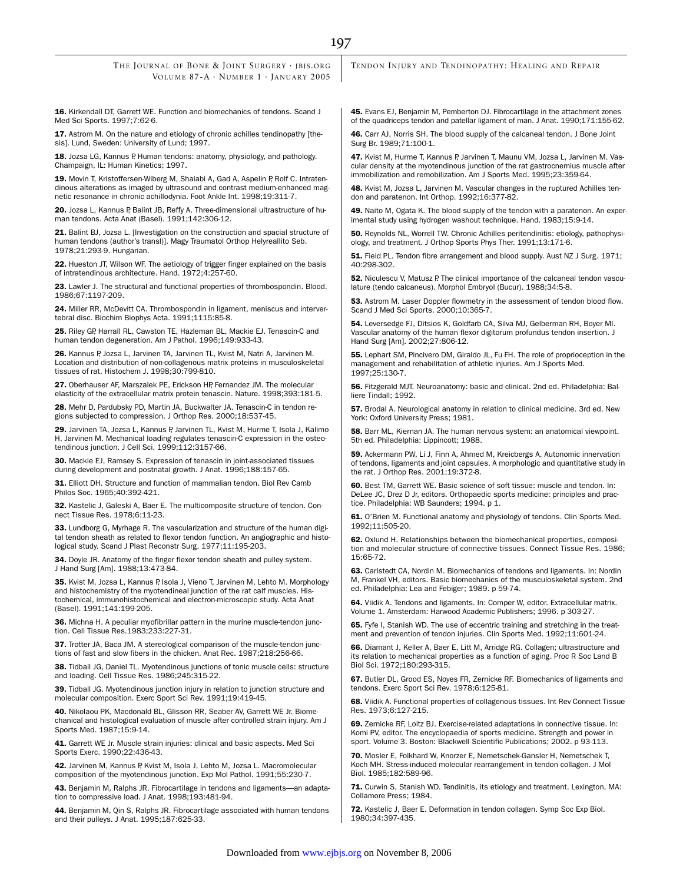16. Kirkendall DT, Garrett WE. Function and biomechanics of tendons. Scand J Med Sci Sports. 1997;7:62-6.

17. Astrom M. On the nature and etiology of chronic achilles tendinopathy [thesis]. Lund, Sweden: University of Lund; 1997.

18. Jozsa LG, Kannus P. Human tendons: anatomy, physiology, and pathology. Champaign, IL: Human Kinetics; 1997.

19. Movin T, Kristoffersen-Wiberg M, Shalabi A, Gad A, Aspelin P, Rolf C. Intratendinous alterations as imaged by ultrasound and contrast medium-enhanced magnetic resonance in chronic achillodynia. Foot Ankle Int. 1998;19:311-7.

20. Jozsa L, Kannus P, Balint JB, Reffy A. Three-dimensional ultrastructure of human tendons. Acta Anat (Basel). 1991;142:306-12.

21. Balint BJ, Jozsa L. [Investigation on the construction and spacial structure of human tendons (author's transl)]. Magy Traumatol Orthop Helyreallito Seb. 1978;21:293-9. Hungarian.

22. Hueston JT, Wilson WF. The aetiology of trigger finger explained on the basis of intratendinous architecture. Hand. 1972;4:257-60.

23. Lawler J. The structural and functional properties of thrombospondin. Blood. 1986;67:1197-209.

24. Miller RR, McDevitt CA. Thrombospondin in ligament, meniscus and intervertebral disc. Biochim Biophys Acta. 1991;1115:85-8.

25. Riley GP, Harrall RL, Cawston TE, Hazleman BL, Mackie EJ. Tenascin-C and human tendon degeneration. Am J Pathol. 1996;149:933-43.

26. Kannus P, Jozsa L, Jarvinen TA, Jarvinen TL, Kvist M, Natri A, Jarvinen M. Location and distribution of non-collagenous matrix proteins in musculoskeletal tissues of rat. Histochem J. 1998;30:799-810.

27. Oberhauser AF, Marszalek PE, Erickson HP, Fernandez JM. The molecular elasticity of the extracellular matrix protein tenascin. Nature. 1998;393:181-5.

28. Mehr D, Pardubsky PD, Martin JA, Buckwalter JA. Tenascin-C in tendon regions subjected to compression. J Orthop Res. 2000;18:537-45.

29. Jarvinen TA, Jozsa L, Kannus P, Jarvinen TL, Kvist M, Hurme T, Isola J, Kalimo H, Jarvinen M. Mechanical loading regulates tenascin-C expression in the osteotendinous junction. J Cell Sci. 1999;112:3157-66.

30. Mackie EJ, Ramsey S. Expression of tenascin in joint-associated tissues during development and postnatal growth. J Anat. 1996;188:157-65.

31. Elliott DH. Structure and function of mammalian tendon. Biol Rev Camb Philos Soc. 1965;40:392-421.

32. Kastelic J, Galeski A, Baer E. The multicomposite structure of tendon. Connect Tissue Res. 1978;6:11-23.

33. Lundborg G, Myrhage R. The vascularization and structure of the human digital tendon sheath as related to flexor tendon function. An angiographic and histological study. Scand J Plast Reconstr Surg. 1977;11:195-203.

34. Doyle JR. Anatomy of the finger flexor tendon sheath and pulley system. J Hand Surg [Am]. 1988;13:473-84.

35. Kvist M, Jozsa L, Kannus P, Isola J, Vieno T, Jarvinen M, Lehto M. Morphology and histochemistry of the myotendineal junction of the rat calf muscles. Histochemical, immunohistochemical and electron-microscopic study. Acta Anat (Basel). 1991;141:199-205.

36. Michna H. A peculiar myofibrillar pattern in the murine muscle-tendon junction. Cell Tissue Res.1983;233:227-31.

37. Trotter JA, Baca JM. A stereological comparison of the muscle-tendon junctions of fast and slow fibers in the chicken. Anat Rec. 1987;218:256-66.

38. Tidball JG, Daniel TL. Myotendinous junctions of tonic muscle cells: structure and loading. Cell Tissue Res. 1986;245:315-22.

39. Tidball JG. Myotendinous junction injury in relation to junction structure and molecular composition. Exerc Sport Sci Rev. 1991;19:419-45.

40. Nikolaou PK, Macdonald BL, Glisson RR, Seaber AV, Garrett WE Jr. Biomechanical and histological evaluation of muscle after controlled strain injury. Am J Sports Med. 1987;15:9-14.

41. Garrett WE Jr. Muscle strain injuries: clinical and basic aspects. Med Sci Sports Exerc. 1990;22:436-43.

42. Jarvinen M, Kannus P, Kvist M, Isola J, Lehto M, Jozsa L, Macromolecular composition of the myotendinous junction. Exp Mol Pathol. 1991;55:230-7.

43. Benjamin M, Ralphs JR. Fibrocartilage in tendons and ligaments-an adaptation to compressive load. J Anat. 1998;193:481-94.

44. Benjamin M, Qin S, Ralphs JR. Fibrocartilage associated with human tendons and their pulleys. J Anat. 1995;187:625-33.

#### TENDON INJURY AND TENDINOPATHY: HEALING AND REPAIR

45. Evans EJ, Benjamin M, Pemberton DJ. Fibrocartilage in the attachment zones of the quadriceps tendon and patellar ligament of man. J Anat. 1990;171:155-62.

46. Carr AJ, Norris SH. The blood supply of the calcaneal tendon. J Bone Joint Surg Br. 1989;71:100-1.

47. Kvist M, Hurme T, Kannus P, Jarvinen T, Maunu VM, Jozsa L, Jarvinen M. Vascular density at the myotendinous junction of the rat gastrocnemius muscle after immobilization and remobilization. Am J Sports Med. 1995;23:359-64.

48. Kvist M, Jozsa L, Jarvinen M. Vascular changes in the ruptured Achilles tendon and paratenon. Int Orthop. 1992;16:377-82.

49. Naito M, Ogata K. The blood supply of the tendon with a paratenon. An experimental study using hydrogen washout technique. Hand. 1983;15:9-14.

50. Reynolds NL, Worrell TW. Chronic Achilles peritendinitis: etiology, pathophysiology, and treatment. J Orthop Sports Phys Ther. 1991;13:171-6.

51. Field PL. Tendon fibre arrangement and blood supply. Aust NZ J Surg. 1971; 40:298-302.

52. Niculescu V, Matusz P. The clinical importance of the calcaneal tendon vasculature (tendo calcaneus). Morphol Embryol (Bucur). 1988;34:5-8.

53. Astrom M. Laser Doppler flowmetry in the assessment of tendon blood flow. Scand J Med Sci Sports. 2000;10:365-7.

54. Leversedge FJ, Ditsios K, Goldfarb CA, Silva MJ, Gelberman RH, Boyer MI. Vascular anatomy of the human flexor digitorum profundus tendon insertion. J Hand Surg [Am]. 2002;27:806-12.

55. Lephart SM, Pincivero DM, Giraldo JL, Fu FH. The role of proprioception in the management and rehabilitation of athletic injuries. Am J Sports Med. 1997;25:130-7.

56. Fitzgerald MJT. Neuroanatomy: basic and clinical. 2nd ed. Philadelphia: Balliere Tindall; 1992.

57. Brodal A. Neurological anatomy in relation to clinical medicine. 3rd ed. New York: Oxford University Press; 1981.

58. Barr ML, Kiernan JA. The human nervous system: an anatomical viewpoint. 5th ed. Philadelphia: Lippincott; 1988.

59. Ackermann PW, Li J, Finn A, Ahmed M, Kreicbergs A. Autonomic innervation of tendons, ligaments and joint capsules. A morphologic and quantitative study in the rat. J Orthop Res. 2001;19:372-8.

60. Best TM, Garrett WE. Basic science of soft tissue: muscle and tendon. In: DeLee JC, Drez D Jr, editors. Orthopaedic sports medicine: principles and practice. Philadelphia: WB Saunders; 1994. p 1.

61. O'Brien M. Functional anatomy and physiology of tendons. Clin Sports Med. 1992;11:505-20.

62. Oxlund H. Relationships between the biomechanical properties, composition and molecular structure of connective tissues. Connect Tissue Res. 1986; 15:65-72.

63. Carlstedt CA, Nordin M. Biomechanics of tendons and ligaments. In: Nordin M, Frankel VH, editors. Basic biomechanics of the musculoskeletal system. 2nd ed. Philadelphia: Lea and Febiger; 1989. p 59-74.

64. Viidik A. Tendons and ligaments. In: Comper W, editor. Extracellular matrix. Volume 1. Amsterdam: Harwood Academic Publishers; 1996. p 303-27.

65. Fyfe I, Stanish WD. The use of eccentric training and stretching in the treatment and prevention of tendon injuries. Clin Sports Med. 1992;11:601-24.

66. Diamant J, Keller A, Baer E, Litt M, Arridge RG. Collagen; ultrastructure and its relation to mechanical properties as a function of aging. Proc R Soc Land B Biol Sci. 1972;180:293-315.

67. Butler DL, Grood ES, Noyes FR, Zernicke RF. Biomechanics of ligaments and tendons. Exerc Sport Sci Rev. 1978;6:125-81.

68. Viidik A. Functional properties of collagenous tissues. Int Rev Connect Tissue Res. 1973;6:127-215.

69. Zernicke RF, Loitz BJ. Exercise-related adaptations in connective tissue. In: Komi PV, editor. The encyclopaedia of sports medicine. Strength and power in sport. Volume 3. Boston: Blackwell Scientific Publications; 2002. p 93-113.

70. Mosler E, Folkhard W, Knorzer E, Nemetschek-Gansler H, Nemetschek T, Koch MH. Stress-induced molecular rearrangement in tendon collagen. J Mol Biol. 1985;182:589-96.

71. Curwin S, Stanish WD. Tendinitis, its etiology and treatment. Lexington, MA: Collamore Press; 1984.

72. Kastelic J, Baer E. Deformation in tendon collagen. Symp Soc Exp Biol. 1980;34:397-435.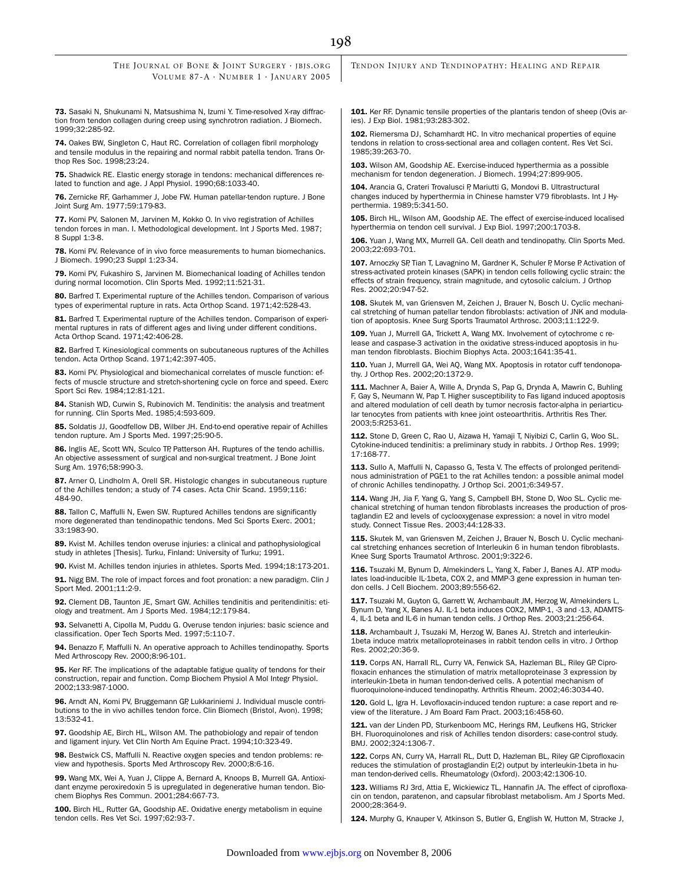73. Sasaki N, Shukunami N, Matsushima N, Izumi Y. Time-resolved X-ray diffraction from tendon collagen during creep using synchrotron radiation. J Biomech. 1999;32:285-92.

74. Oakes BW, Singleton C, Haut RC. Correlation of collagen fibril morphology and tensile modulus in the repairing and normal rabbit patella tendon. Trans Orthop Res Soc. 1998;23:24.

75. Shadwick RE. Elastic energy storage in tendons: mechanical differences related to function and age. J Appl Physiol. 1990;68:1033-40.

76. Zernicke RF, Garhammer J, Jobe FW. Human patellar-tendon rupture. J Bone Joint Surg Am. 1977;59:179-83.

77. Komi PV, Salonen M, Jarvinen M, Kokko O. In vivo registration of Achilles tendon forces in man. I. Methodological development. Int J Sports Med. 1987; 8 Suppl 1:3-8.

78. Komi PV. Relevance of in vivo force measurements to human biomechanics. J Biomech. 1990;23 Suppl 1:23-34.

79. Komi PV, Fukashiro S, Jarvinen M. Biomechanical loading of Achilles tendon during normal locomotion. Clin Sports Med. 1992;11:521-31.

80. Barfred T. Experimental rupture of the Achilles tendon. Comparison of various types of experimental rupture in rats. Acta Orthop Scand. 1971;42:528-43.

81. Barfred T. Experimental rupture of the Achilles tendon. Comparison of experimental ruptures in rats of different ages and living under different conditions. Acta Orthop Scand. 1971;42:406-28.

82. Barfred T. Kinesiological comments on subcutaneous ruptures of the Achilles tendon. Acta Orthop Scand. 1971;42:397-405.

83. Komi PV. Physiological and biomechanical correlates of muscle function: effects of muscle structure and stretch-shortening cycle on force and speed. Exerc Sport Sci Rev. 1984;12:81-121.

84. Stanish WD, Curwin S, Rubinovich M. Tendinitis: the analysis and treatment for running. Clin Sports Med. 1985;4:593-609.

85. Soldatis JJ, Goodfellow DB, Wilber JH. End-to-end operative repair of Achilles tendon rupture. Am J Sports Med. 1997;25:90-5.

86. Inglis AE, Scott WN, Sculco TP, Patterson AH. Ruptures of the tendo achillis. An objective assessment of surgical and non-surgical treatment. J Bone Joint Surg Am. 1976;58:990-3.

87. Arner O, Lindholm A, Orell SR. Histologic changes in subcutaneous rupture of the Achilles tendon; a study of 74 cases. Acta Chir Scand. 1959;116: 484-90.

88. Tallon C, Maffulli N, Ewen SW. Ruptured Achilles tendons are significantly more degenerated than tendinopathic tendons. Med Sci Sports Exerc. 2001; 33:1983-90.

89. Kvist M. Achilles tendon overuse injuries: a clinical and pathophysiological study in athletes [Thesis]. Turku, Finland: University of Turku; 1991.

90. Kvist M. Achilles tendon injuries in athletes. Sports Med. 1994;18:173-201.

91. Nigg BM. The role of impact forces and foot pronation: a new paradigm. Clin J Sport Med. 2001;11:2-9.

92. Clement DB, Taunton JE, Smart GW. Achilles tendinitis and peritendinitis: etiology and treatment. Am J Sports Med. 1984;12:179-84.

93. Selvanetti A, Cipolla M, Puddu G. Overuse tendon injuries: basic science and classification. Oper Tech Sports Med. 1997;5:110-7.

94. Benazzo F, Maffulli N. An operative approach to Achilles tendinopathy. Sports Med Arthroscopy Rev. 2000;8:96-101.

95. Ker RF. The implications of the adaptable fatigue quality of tendons for their construction, repair and function. Comp Biochem Physiol A Mol Integr Physiol. 2002;133:987-1000.

96. Arndt AN, Komi PV, Bruggemann GP, Lukkariniemi J. Individual muscle contributions to the in vivo achilles tendon force. Clin Biomech (Bristol, Avon). 1998; 13:532-41.

97. Goodship AE, Birch HL, Wilson AM. The pathobiology and repair of tendon and ligament injury. Vet Clin North Am Equine Pract. 1994;10:323-49.

98. Bestwick CS, Maffulli N. Reactive oxygen species and tendon problems: review and hypothesis. Sports Med Arthroscopy Rev. 2000;8:6-16.

99. Wang MX, Wei A, Yuan J, Clippe A, Bernard A, Knoops B, Murrell GA. Antioxidant enzyme peroxiredoxin 5 is upregulated in degenerative human tendon. Biochem Biophys Res Commun. 2001;284:667-73.

100. Birch HL, Rutter GA, Goodship AE. Oxidative energy metabolism in equine tendon cells. Res Vet Sci. 1997;62:93-7.

TENDON INJURY AND TENDINOPATHY: HEALING AND REPAIR

101. Ker RF. Dynamic tensile properties of the plantaris tendon of sheep (Ovis aries). J Exp Biol. 1981;93:283-302.

102. Riemersma DJ, Schamhardt HC. In vitro mechanical properties of equine tendons in relation to cross-sectional area and collagen content. Res Vet Sci. 1985;39:263-70.

103. Wilson AM, Goodship AE. Exercise-induced hyperthermia as a possible mechanism for tendon degeneration. J Biomech. 1994;27:899-905.

104. Arancia G, Crateri Trovalusci P, Mariutti G, Mondovi B. Ultrastructural changes induced by hyperthermia in Chinese hamster V79 fibroblasts. Int J Hyperthermia. 1989;5:341-50.

105. Birch HL, Wilson AM, Goodship AE. The effect of exercise-induced localised hyperthermia on tendon cell survival. J Exp Biol. 1997;200:1703-8.

106. Yuan J, Wang MX, Murrell GA. Cell death and tendinopathy. Clin Sports Med. 2003;22:693-701.

107. Arnoczky SP, Tian T, Lavagnino M, Gardner K, Schuler P, Morse P. Activation of stress-activated protein kinases (SAPK) in tendon cells following cyclic strain: the effects of strain frequency, strain magnitude, and cytosolic calcium. J Orthop Res. 2002;20:947-52.

108. Skutek M, van Griensven M, Zeichen J, Brauer N, Bosch U. Cyclic mechanical stretching of human patellar tendon fibroblasts: activation of JNK and modulation of apoptosis. Knee Surg Sports Traumatol Arthrosc. 2003;11:122-9.

109. Yuan J, Murrell GA, Trickett A, Wang MX. Involvement of cytochrome c release and caspase-3 activation in the oxidative stress-induced apoptosis in human tendon fibroblasts. Biochim Biophys Acta. 2003;1641:35-41.

110. Yuan J, Murrell GA, Wei AQ, Wang MX. Apoptosis in rotator cuff tendonopathy. J Orthop Res. 2002;20:1372-9.

111. Machner A, Baier A, Wille A, Drynda S, Pap G, Drynda A, Mawrin C, Buhling F, Gay S, Neumann W, Pap T. Higher susceptibility to Fas ligand induced apoptosis and altered modulation of cell death by tumor necrosis factor-alpha in periarticular tenocytes from patients with knee joint osteoarthritis. Arthritis Res Ther. 2003;5:R253-61.

112. Stone D, Green C, Rao U, Aizawa H, Yamaii T, Nivibizi C, Carlin G, Woo SL, Cytokine-induced tendinitis: a preliminary study in rabbits. J Orthop Res. 1999; 17:168-77.

113. Sullo A, Maffulli N, Capasso G, Testa V. The effects of prolonged peritendinous administration of PGE1 to the rat Achilles tendon: a possible animal model of chronic Achilles tendinopathy. J Orthop Sci. 2001;6:349-57.

114. Wang JH, Jia F, Yang G, Yang S, Campbell BH, Stone D, Woo SL. Cyclic mechanical stretching of human tendon fibroblasts increases the production of prostaglandin E2 and levels of cyclooxygenase expression: a novel in vitro model study. Connect Tissue Res. 2003;44:128-33.

115. Skutek M, van Griensven M, Zeichen J, Brauer N, Bosch U. Cyclic mechanical stretching enhances secretion of Interleukin 6 in human tendon fibroblasts. Knee Surg Sports Traumatol Arthrosc. 2001;9:322-6.

116. Tsuzaki M, Bynum D, Almekinders L, Yang X, Faber J, Banes AJ. ATP modulates load-inducible IL-1beta, COX 2, and MMP-3 gene expression in human tendon cells. J Cell Biochem. 2003;89:556-62.

117. Tsuzaki M, Guyton G, Garrett W, Archambault JM, Herzog W, Almekinders L, Bynum D, Yang X, Banes AJ. IL-1 beta induces COX2, MMP-1, -3 and -13, ADAMTS-4, IL-1 beta and IL-6 in human tendon cells. J Orthop Res. 2003;21:256-64.

118. Archambault J, Tsuzaki M, Herzog W, Banes AJ. Stretch and interleukin-1beta induce matrix metalloproteinases in rabbit tendon cells in vitro. J Orthop Res. 2002;20:36-9.

119. Corps AN, Harrall RL, Curry VA, Fenwick SA, Hazleman BL, Riley GP. Ciprofloxacin enhances the stimulation of matrix metalloproteinase 3 expression by interleukin-1beta in human tendon-derived cells. A potential mechanism of fluoroquinolone-induced tendinopathy. Arthritis Rheum. 2002;46:3034-40.

120. Gold L. Igra H. Levofloxacin-induced tendon rupture: a case report and review of the literature. J Am Board Fam Pract. 2003;16:458-60.

121. van der Linden PD, Sturkenboom MC, Herings RM, Leufkens HG, Stricker BH. Fluoroquinolones and risk of Achilles tendon disorders: case-control study. BMJ. 2002;324:1306-7.

122. Corps AN, Curry VA, Harrall RL, Dutt D, Hazleman BL, Riley GP. Ciprofloxacin reduces the stimulation of prostaglandin E(2) output by interleukin-1beta in human tendon-derived cells. Rheumatology (Oxford). 2003;42:1306-10.

123. Williams RJ 3rd, Attia E, Wickiewicz TL, Hannafin JA. The effect of ciprofloxacin on tendon, paratenon, and capsular fibroblast metabolism. Am J Sports Med. 2000;28:364-9.

124. Murphy G, Knauper V, Atkinson S, Butler G, English W, Hutton M, Stracke J,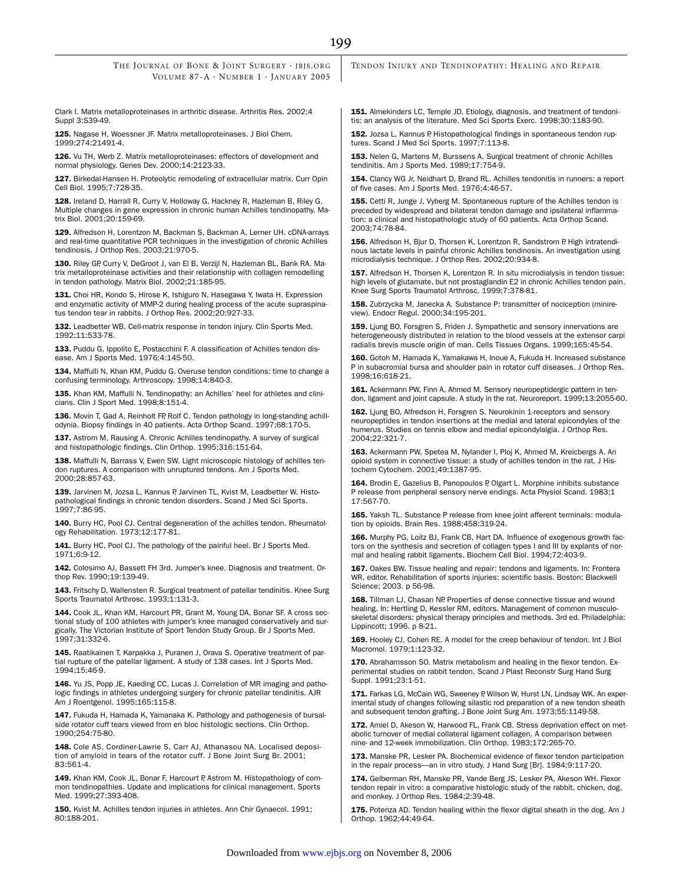Clark I. Matrix metalloproteinases in arthritic disease. Arthritis Res. 2002;4 Suppl 3:S39-49.

125. Nagase H, Woessner JF. Matrix metalloproteinases. J Biol Chem. 1999;274:21491-4.

126. Vu TH, Werb Z. Matrix metalloproteinases: effectors of development and normal physiology. Genes Dev. 2000;14:2123-33.

127. Birkedal-Hansen H. Proteolytic remodeling of extracellular matrix. Curr Opin Cell Biol. 1995;7:728-35.

128. Ireland D, Harrall R, Curry V, Holloway G, Hackney R, Hazleman B, Riley G. Multiple changes in gene expression in chronic human Achilles tendinopathy. Matrix Biol. 2001;20:159-69.

129. Alfredson H, Lorentzon M, Backman S, Backman A, Lerner UH. cDNA-arrays and real-time quantitative PCR techniques in the investigation of chronic Achilles tendinosis. J Orthop Res. 2003;21:970-5.

130. Riley GP, Curry V, DeGroot J, van El B, Verzijl N, Hazleman BL, Bank RA. Matrix metalloproteinase activities and their relationship with collagen remodelling in tendon pathology. Matrix Biol. 2002;21:185-95.

131. Choi HR, Kondo S, Hirose K, Ishiguro N, Hasegawa Y, Iwata H. Expression and enzymatic activity of MMP-2 during healing process of the acute supraspinatus tendon tear in rabbits. J Orthop Res. 2002;20:927-33.

132. Leadbetter WB. Cell-matrix response in tendon injury. Clin Sports Med. 1992;11:533-78.

133. Puddu G, Ippolito E, Postacchini F. A classification of Achilles tendon disease. Am J Sports Med. 1976;4:145-50.

134. Maffulli N, Khan KM, Puddu G. Overuse tendon conditions: time to change a confusing terminology. Arthroscopy. 1998;14:840-3.

135. Khan KM, Maffulli N. Tendinopathy: an Achilles' heel for athletes and clinicians. Clin J Sport Med. 1998;8:151-4.

136. Movin T, Gad A, Reinholt FP, Rolf C. Tendon pathology in long-standing achillodynia. Biopsy findings in 40 patients. Acta Orthop Scand. 1997;68:170-5.

137. Astrom M, Rausing A. Chronic Achilles tendinopathy. A survey of surgical and histopathologic findings. Clin Orthop. 1995;316:151-64.

138. Maffulli N, Barrass V, Ewen SW. Light microscopic histology of achilles tendon ruptures. A comparison with unruptured tendons. Am J Sports Med. 2000;28:857-63.

139. Jarvinen M, Jozsa L, Kannus P, Jarvinen TL, Kvist M, Leadbetter W. Histopathological findings in chronic tendon disorders. Scand J Med Sci Sports. 1997;7:86-95.

140. Burry HC, Pool CJ. Central degeneration of the achilles tendon. Rheumatology Rehabilitation. 1973;12:177-81.

141. Burry HC, Pool CJ. The pathology of the painful heel. Br J Sports Med. 1971;6:9-12.

142. Colosimo AJ, Bassett FH 3rd. Jumper's knee. Diagnosis and treatment. Orthop Rev. 1990;19:139-49.

143. Fritschy D, Wallensten R. Surgical treatment of patellar tendinitis. Knee Surg Sports Traumatol Arthrosc. 1993;1:131-3.

144. Cook JL, Khan KM, Harcourt PR, Grant M, Young DA, Bonar SF. A cross sectional study of 100 athletes with jumper's knee managed conservatively and surgically. The Victorian Institute of Sport Tendon Study Group. Br J Sports Med. 1997;31:332-6.

145. Raatikainen T, Karpakka J, Puranen J, Orava S. Operative treatment of partial rupture of the patellar ligament. A study of 138 cases. Int J Sports Med. 1994;15:46-9.

146. Yu JS, Popp JE, Kaeding CC, Lucas J. Correlation of MR imaging and pathologic findings in athletes undergoing surgery for chronic patellar tendinitis. AJR Am J Roentgenol. 1995;165:115-8.

147. Fukuda H, Hamada K, Yamanaka K. Pathology and pathogenesis of bursalside rotator cuff tears viewed from en bloc histologic sections. Clin Orthop. 1990;254:75-80.

148. Cole AS, Cordiner-Lawrie S, Carr AJ, Athanasou NA. Localised deposition of amyloid in tears of the rotator cuff. J Bone Joint Surg Br. 2001; 83:561-4.

149. Khan KM, Cook JL, Bonar F, Harcourt P, Astrom M. Histopathology of common tendinopathies. Update and implications for clinical management. Sports Med. 1999;27:393-408.

150. Kvist M. Achilles tendon injuries in athletes. Ann Chir Gynaecol. 1991; 80:188-201.

TENDON INJURY AND TENDINOPATHY: HEALING AND REPAIR

151. Almekinders LC, Temple JD. Etiology, diagnosis, and treatment of tendonitis: an analysis of the literature. Med Sci Sports Exerc. 1998;30:1183-90.

152. Jozsa L, Kannus P. Histopathological findings in spontaneous tendon ruptures. Scand J Med Sci Sports. 1997;7:113-8.

153. Nelen G, Martens M, Burssens A. Surgical treatment of chronic Achilles tendinitis. Am J Sports Med. 1989:17:754-9.

154. Clancy WG Jr, Neidhart D, Brand RL. Achilles tendonitis in runners: a report of five cases. Am J Sports Med. 1976;4:46-57.

155. Cetti R, Junge J, Vyberg M. Spontaneous rupture of the Achilles tendon is preceded by widespread and bilateral tendon damage and ipsilateral inflammation: a clinical and histopathologic study of 60 patients. Acta Orthop Scand. 2003;74:78-84.

156. Alfredson H, Bjur D, Thorsen K, Lorentzon R, Sandstrom P. High intratendinous lactate levels in painful chronic Achilles tendinosis. An investigation using microdialysis technique. J Orthop Res. 2002;20:934-8.

157. Alfredson H, Thorsen K, Lorentzon R. In situ microdialysis in tendon tissue: high levels of glutamate, but not prostaglandin E2 in chronic Achilles tendon pain. Knee Surg Sports Traumatol Arthrosc. 1999;7:378-81.

158. Zubrzycka M, Janecka A. Substance P: transmitter of nociception (minireview). Endocr Regul. 2000;34:195-201.

159. Ljung BO, Forsgren S, Friden J. Sympathetic and sensory innervations are heterogeneously distributed in relation to the blood vessels at the extensor carpi radialis brevis muscle origin of man. Cells Tissues Organs. 1999;165:45-54.

160. Gotoh M, Hamada K, Yamakawa H, Inoue A, Fukuda H. Increased substance P in subacromial bursa and shoulder pain in rotator cuff diseases. J Orthop Res. 1998;16:618-21.

161. Ackermann PW, Finn A, Ahmed M. Sensory neuropeptidergic pattern in tendon, ligament and joint capsule. A study in the rat. Neuroreport. 1999;13:2055-60.

162. Ljung BO, Alfredson H, Forsgren S. Neurokinin 1-receptors and sensory neuropeptides in tendon insertions at the medial and lateral epicondyles of the humerus. Studies on tennis elbow and medial epicondylalgia. J Orthop Res. 2004;22:321-7.

163. Ackermann PW, Spetea M, Nylander I, Ploj K, Ahmed M, Kreicbergs A. An opioid system in connective tissue: a study of achilles tendon in the rat. J Histochem Cytochem. 2001;49:1387-95.

164. Brodin E, Gazelius B, Panopoulos P, Olgart L. Morphine inhibits substance P release from peripheral sensory nerve endings. Acta Physiol Scand. 1983;1 17:567-70.

165. Yaksh TL. Substance P release from knee joint afferent terminals: modulation by opioids. Brain Res. 1988;458:319-24.

166. Murphy PG, Loitz BJ, Frank CB, Hart DA. Influence of exogenous growth factors on the synthesis and secretion of collagen types I and III by explants of normal and healing rabbit ligaments. Biochem Cell Biol. 1994;72:403-9.

167. Oakes BW. Tissue healing and repair: tendons and ligaments. In: Frontera WR, editor. Rehabilitation of sports injuries: scientific basis. Boston: Blackwell Science; 2003. p 56-98.

168. Tillman LJ, Chasan NP. Properties of dense connective tissue and wound healing. In: Hertling D, Kessler RM, editors. Management of common musculoskeletal disorders: physical therapy principles and methods. 3rd ed. Philadelphia: Lippincott; 1996. p 8-21.

169. Hooley CJ, Cohen RE. A model for the creep behaviour of tendon. Int J Biol Macromol. 1979;1:123-32.

170. Abrahamsson SO. Matrix metabolism and healing in the flexor tendon. Experimental studies on rabbit tendon. Scand J Plast Reconstr Surg Hand Surg Suppl. 1991;23:1-51.

171. Farkas LG, McCain WG, Sweeney P, Wilson W, Hurst LN, Lindsay WK. An experimental study of changes following silastic rod preparation of a new tendon sheath and subsequent tendon grafting. J Bone Joint Surg Am. 1973;55:1149-58.

172. Amiel D, Akeson W, Harwood FL, Frank CB. Stress deprivation effect on metabolic turnover of medial collateral ligament collagen. A comparison between nine- and 12-week immobilization. Clin Orthop. 1983;172:265-70.

173. Manske PR, Lesker PA. Biochemical evidence of flexor tendon participation in the repair process—an in vitro study. J Hand Surg [Br]. 1984;9:117-20.

174. Gelberman RH, Manske PR, Vande Berg JS, Lesker PA, Akeson WH. Flexor tendon repair in vitro: a comparative histologic study of the rabbit, chicken, dog, and monkey. J Orthop Res. 1984;2:39-48.

175. Potenza AD. Tendon healing within the flexor digital sheath in the dog. Am J Orthop. 1962;44:49-64.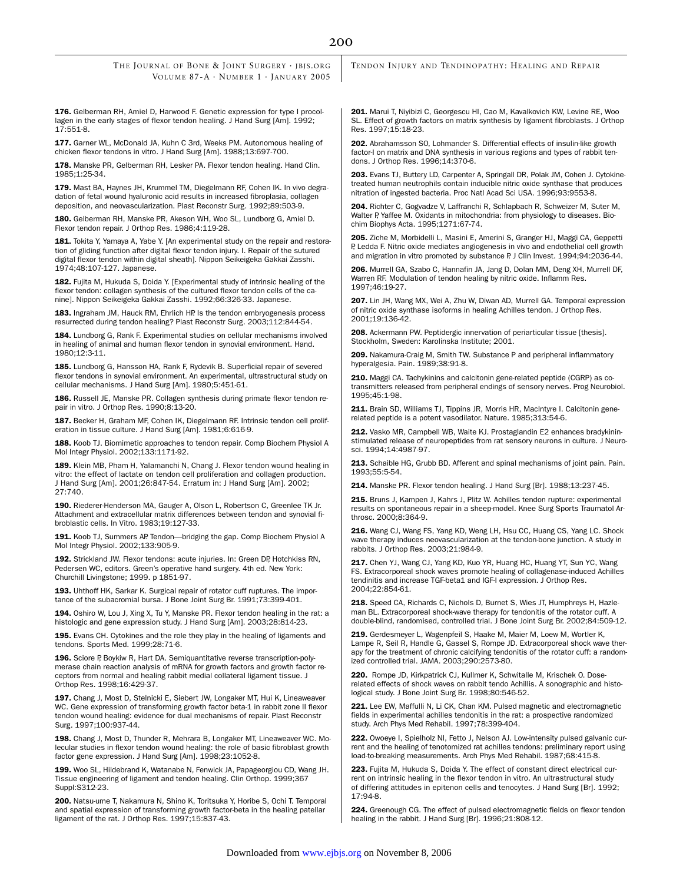176. Gelberman RH, Amiel D, Harwood F. Genetic expression for type I procollagen in the early stages of flexor tendon healing. J Hand Surg [Am]. 1992; 17:551-8.

177. Garner WL, McDonald JA, Kuhn C 3rd, Weeks PM. Autonomous healing of chicken flexor tendons in vitro. J Hand Surg [Am]. 1988;13:697-700.

178. Manske PR, Gelberman RH, Lesker PA. Flexor tendon healing. Hand Clin. 1985;1:25-34.

179. Mast BA, Haynes JH, Krummel TM, Diegelmann RF, Cohen IK. In vivo degradation of fetal wound hyaluronic acid results in increased fibroplasia, collagen deposition, and neovascularization. Plast Reconstr Surg. 1992;89:503-9.

180. Gelberman RH, Manske PR, Akeson WH, Woo SL, Lundborg G, Amiel D. Flexor tendon repair. J Orthop Res. 1986;4:119-28.

181. Tokita Y, Yamaya A, Yabe Y. [An experimental study on the repair and restoration of gliding function after digital flexor tendon injury. I. Repair of the sutured digital flexor tendon within digital sheath]. Nippon Seikeigeka Gakkai Zasshi. 1974;48:107-127. Japanese.

182. Fujita M, Hukuda S, Doida Y. [Experimental study of intrinsic healing of the flexor tendon: collagen synthesis of the cultured flexor tendon cells of the canine]. Nippon Seikeigeka Gakkai Zasshi. 1992;66:326-33. Japanese.

183. Ingraham JM, Hauck RM, Ehrlich HP. Is the tendon embryogenesis process resurrected during tendon healing? Plast Reconstr Surg. 2003;112:844-54.

184. Lundborg G, Rank F. Experimental studies on cellular mechanisms involved in healing of animal and human flexor tendon in synovial environment. Hand. 1980;12:3-11.

185. Lundborg G, Hansson HA, Rank F, Rydevik B. Superficial repair of severed flexor tendons in synovial environment. An experimental, ultrastructural study on cellular mechanisms. J Hand Surg [Am]. 1980;5:451-61.

186. Russell JE, Manske PR. Collagen synthesis during primate flexor tendon repair in vitro. J Orthop Res. 1990;8:13-20.

187. Becker H, Graham MF, Cohen IK, Diegelmann RF. Intrinsic tendon cell proliferation in tissue culture. J Hand Surg [Am]. 1981;6:616-9.

188. Koob TJ. Biomimetic approaches to tendon repair. Comp Biochem Physiol A Mol Integr Physiol. 2002;133:1171-92.

189. Klein MB, Pham H, Yalamanchi N, Chang J. Flexor tendon wound healing in vitro: the effect of lactate on tendon cell proliferation and collagen production. J Hand Surg [Am]. 2001;26:847-54. Erratum in: J Hand Surg [Am]. 2002; 27:740.

190. Riederer-Henderson MA, Gauger A, Olson L, Robertson C, Greenlee TK Jr. Attachment and extracellular matrix differences between tendon and synovial fibroblastic cells. In Vitro. 1983;19:127-33.

191. Koob TJ, Summers AP. Tendon-bridging the gap. Comp Biochem Physiol A Mol Integr Physiol. 2002;133:905-9.

192. Strickland JW. Flexor tendons: acute injuries. In: Green DP, Hotchkiss RN, Pedersen WC, editors. Green's operative hand surgery. 4th ed. New York: Churchill Livingstone; 1999. p 1851-97.

193. Uhthoff HK, Sarkar K. Surgical repair of rotator cuff ruptures. The importance of the subacromial bursa. J Bone Joint Surg Br. 1991;73:399-401.

194. Oshiro W, Lou J, Xing X, Tu Y, Manske PR. Flexor tendon healing in the rat: a histologic and gene expression study. J Hand Surg [Am]. 2003;28:814-23.

195. Evans CH. Cytokines and the role they play in the healing of ligaments and tendons. Sports Med. 1999;28:71-6.

196. Sciore P, Boykiw R, Hart DA. Semiquantitative reverse transcription-polymerase chain reaction analysis of mRNA for growth factors and growth factor receptors from normal and healing rabbit medial collateral ligament tissue. J Orthop Res. 1998;16:429-37.

197. Chang J, Most D, Stelnicki E, Siebert JW, Longaker MT, Hui K, Lineaweaver WC. Gene expression of transforming growth factor beta-1 in rabbit zone II flexor tendon wound healing: evidence for dual mechanisms of repair. Plast Reconstr Surg. 1997;100:937-44.

198. Chang J, Most D, Thunder R, Mehrara B, Longaker MT, Lineaweaver WC. Molecular studies in flexor tendon wound healing: the role of basic fibroblast growth factor gene expression. J Hand Surg [Am]. 1998;23:1052-8.

199. Woo SL, Hildebrand K, Watanabe N, Fenwick JA, Papageorgiou CD, Wang JH. Tissue engineering of ligament and tendon healing. Clin Orthop. 1999;367 Suppl:S312-23.

200. Natsu-ume T, Nakamura N, Shino K, Toritsuka Y, Horibe S, Ochi T. Temporal and spatial expression of transforming growth factor-beta in the healing patellar ligament of the rat. J Orthop Res. 1997;15:837-43.

TENDON INJURY AND TENDINOPATHY: HEALING AND REPAIR

201. Marui T, Niyibizi C, Georgescu HI, Cao M, Kavalkovich KW, Levine RE, Woo SL. Effect of growth factors on matrix synthesis by ligament fibroblasts. J Orthop Res. 1997;15:18-23.

202. Abrahamsson SO, Lohmander S. Differential effects of insulin-like growth factor-I on matrix and DNA synthesis in various regions and types of rabbit tendons. J Orthop Res. 1996;14:370-6.

203. Evans TJ, Buttery LD, Carpenter A, Springall DR, Polak JM, Cohen J. Cytokinetreated human neutrophils contain inducible nitric oxide synthase that produces nitration of ingested bacteria. Proc Natl Acad Sci USA. 1996;93:9553-8.

204. Richter C, Gogvadze V, Laffranchi R, Schlapbach R, Schweizer M, Suter M, Walter P, Yaffee M. Oxidants in mitochondria: from physiology to diseases. Biochim Biophys Acta. 1995;1271:67-74.

205. Ziche M, Morbidelli L, Masini E, Amerini S, Granger HJ, Maggi CA, Geppetti P, Ledda F. Nitric oxide mediates angiogenesis in vivo and endothelial cell growth and migration in vitro promoted by substance P. J Clin Invest. 1994;94:2036-44.

206. Murrell GA, Szabo C, Hannafin JA, Jang D, Dolan MM, Deng XH, Murrell DF, Warren RF. Modulation of tendon healing by nitric oxide. Inflamm Res. 1997;46:19-27.

207. Lin JH, Wang MX, Wei A, Zhu W, Diwan AD, Murrell GA. Temporal expression of nitric oxide synthase isoforms in healing Achilles tendon. J Orthop Res. 2001;19:136-42.

208. Ackermann PW. Peptidergic innervation of periarticular tissue [thesis]. Stockholm, Sweden: Karolinska Institute; 2001.

209. Nakamura-Craig M, Smith TW. Substance P and peripheral inflammatory hyperalgesia. Pain. 1989;38:91-8.

210. Maggi CA. Tachykinins and calcitonin gene-related peptide (CGRP) as cotransmitters released from peripheral endings of sensory nerves. Prog Neurobiol. 1995;45:1-98.

211. Brain SD, Williams TJ, Tippins JR, Morris HR, MacIntyre I. Calcitonin generelated peptide is a potent vasodilator. Nature. 1985;313:54-6.

212. Vasko MR, Campbell WB, Waite KJ. Prostaglandin E2 enhances bradykininstimulated release of neuropeptides from rat sensory neurons in culture. J Neurosci. 1994;14:4987-97.

213. Schaible HG, Grubb BD. Afferent and spinal mechanisms of joint pain. Pain. 1993;55:5-54.

214. Manske PR. Flexor tendon healing. J Hand Surg [Br]. 1988;13:237-45.

215. Bruns J, Kampen J, Kahrs J, Plitz W. Achilles tendon rupture: experimental results on spontaneous repair in a sheep-model. Knee Surg Sports Traumatol Arthrosc. 2000;8:364-9.

216. Wang CJ, Wang FS, Yang KD, Weng LH, Hsu CC, Huang CS, Yang LC. Shock wave therapy induces neovascularization at the tendon-bone junction. A study in rabbits. J Orthop Res. 2003;21:984-9.

217. Chen YJ, Wang CJ, Yang KD, Kuo YR, Huang HC, Huang YT, Sun YC, Wang FS. Extracorporeal shock waves promote healing of collagenase-induced Achilles tendinitis and increase TGF-beta1 and IGF-I expression. J Orthop Res. 2004;22:854-61.

218. Speed CA, Richards C, Nichols D, Burnet S, Wies JT, Humphreys H, Hazleman BL. Extracorporeal shock-wave therapy for tendonitis of the rotator cuff. A double-blind, randomised, controlled trial. J Bone Joint Surg Br. 2002;84:509-12.

219. Gerdesmeyer L, Wagenpfeil S, Haake M, Maier M, Loew M, Wortler K, Lampe R, Seil R, Handle G, Gassel S, Rompe JD. Extracorporeal shock wave therapy for the treatment of chronic calcifying tendonitis of the rotator cuff: a randomized controlled trial. JAMA. 2003;290:2573-80.

220. Rompe JD, Kirkpatrick CJ, Kullmer K, Schwitalle M, Krischek O. Doserelated effects of shock waves on rabbit tendo Achillis. A sonographic and histological study. J Bone Joint Surg Br. 1998;80:546-52.

221. Lee EW, Maffulli N, Li CK, Chan KM. Pulsed magnetic and electromagnetic fields in experimental achilles tendonitis in the rat: a prospective randomized study. Arch Phys Med Rehabil. 1997;78:399-404.

222. Owoeye I, Spielholz NI, Fetto J, Nelson AJ. Low-intensity pulsed galvanic current and the healing of tenotomized rat achilles tendons: preliminary report using load-to-breaking measurements. Arch Phys Med Rehabil. 1987;68:415-8.

223. Fujita M, Hukuda S, Doida Y. The effect of constant direct electrical current on intrinsic healing in the flexor tendon in vitro. An ultrastructural study of differing attitudes in epitenon cells and tenocytes. J Hand Surg [Br]. 1992; 17:94-8.

224. Greenough CG. The effect of pulsed electromagnetic fields on flexor tendon healing in the rabbit. J Hand Surg [Br]. 1996;21:808-12.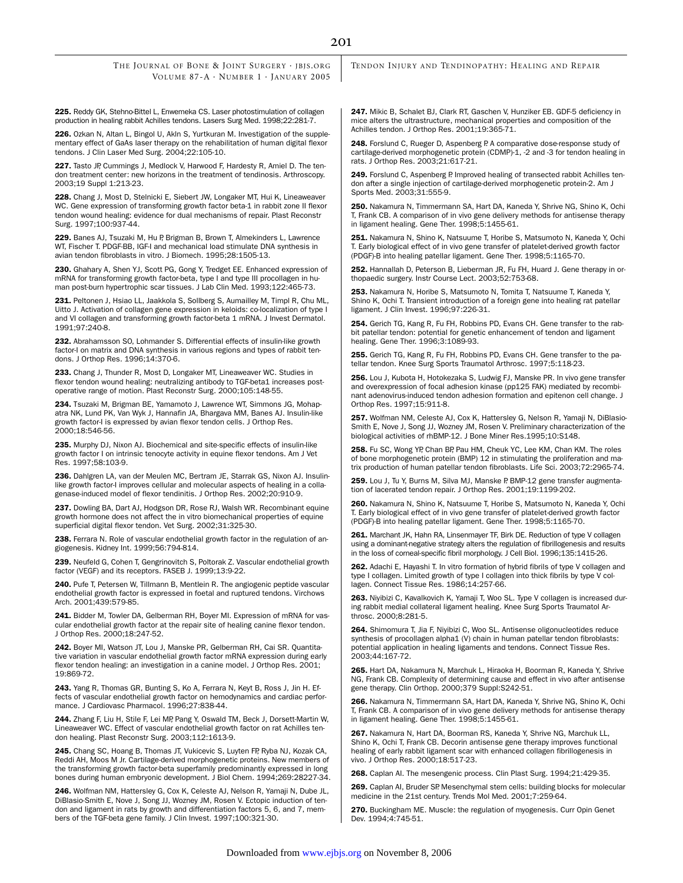225. Reddy GK, Stehno-Bittel L, Enwemeka CS. Laser photostimulation of collagen production in healing rabbit Achilles tendons. Lasers Surg Med. 1998;22:281-7.

226. Ozkan N, Altan L, Bingol U, Akln S, Yurtkuran M. Investigation of the supplementary effect of GaAs laser therapy on the rehabilitation of human digital flexor tendons. J Clin Laser Med Surg. 2004;22:105-10.

227. Tasto JP, Cummings J, Medlock V, Harwood F, Hardesty R, Amiel D. The tendon treatment center: new horizons in the treatment of tendinosis. Arthroscopy. 2003;19 Suppl 1:213-23.

228. Chang J, Most D, Stelnicki E, Siebert JW, Longaker MT, Hui K, Lineaweaver WC. Gene expression of transforming growth factor beta-1 in rabbit zone II flexor tendon wound healing: evidence for dual mechanisms of repair. Plast Reconstr Surg. 1997;100:937-44.

229. Banes AJ, Tsuzaki M, Hu P, Brigman B, Brown T, Almekinders L, Lawrence WT, Fischer T. PDGF-BB, IGF-I and mechanical load stimulate DNA synthesis in avian tendon fibroblasts in vitro. J Biomech. 1995;28:1505-13.

230. Ghahary A, Shen YJ, Scott PG, Gong Y, Tredget EE. Enhanced expression of mRNA for transforming growth factor-beta, type I and type III procollagen in human post-burn hypertrophic scar tissues. J Lab Clin Med. 1993;122:465-73.

231. Peltonen J, Hsiao LL, Jaakkola S, Sollberg S, Aumailley M, Timpl R, Chu ML, Uitto J. Activation of collagen gene expression in keloids: co-localization of type I and VI collagen and transforming growth factor-beta 1 mRNA. J Invest Dermatol. 1991;97:240-8.

232. Abrahamsson SO, Lohmander S. Differential effects of insulin-like growth factor-I on matrix and DNA synthesis in various regions and types of rabbit tendons. J Orthop Res. 1996;14:370-6.

233. Chang J, Thunder R, Most D, Longaker MT, Lineaweaver WC. Studies in flexor tendon wound healing: neutralizing antibody to TGF-beta1 increases postoperative range of motion. Plast Reconstr Surg. 2000;105:148-55.

**234.** Tsuzaki M, Brigman BE, Yamamoto J, Lawrence WT, Simmons JG, Mohap-<br>atra NK, Lund PK, Van Wyk J, Hannafin JA, Bhargava MM, Banes AJ. Insulin-like growth factor-I is expressed by avian flexor tendon cells. J Orthop Res. 2000;18:546-56.

235. Murphy DJ, Nixon AJ. Biochemical and site-specific effects of insulin-like growth factor I on intrinsic tenocyte activity in equine flexor tendons. Am J Vet Res. 1997;58:103-9.

236. Dahlgren LA, van der Meulen MC, Bertram JE, Starrak GS, Nixon AJ. Insulinlike growth factor-I improves cellular and molecular aspects of healing in a collagenase-induced model of flexor tendinitis. J Orthop Res. 2002;20:910-9.

237. Dowling BA, Dart AJ, Hodgson DR. Rose RJ. Walsh WR. Recombinant equine growth hormone does not affect the in vitro biomechanical properties of equine superficial digital flexor tendon. Vet Surg. 2002;31:325-30.

238. Ferrara N. Role of vascular endothelial growth factor in the regulation of angiogenesis. Kidney Int. 1999;56:794-814.

239. Neufeld G, Cohen T, Gengrinovitch S, Poltorak Z. Vascular endothelial growth factor (VEGF) and its receptors. FASEB J. 1999;13:9-22.

240. Pufe T, Petersen W, Tillmann B, Mentlein R. The angiogenic peptide vascular endothelial growth factor is expressed in foetal and ruptured tendons. Virchows Arch. 2001;439:579-85.

241. Bidder M, Towler DA, Gelberman RH, Boyer MI. Expression of mRNA for vascular endothelial growth factor at the repair site of healing canine flexor tendon. J Orthop Res. 2000;18:247-52.

242. Boyer MI, Watson JT, Lou J, Manske PR, Gelberman RH, Cai SR. Quantitative variation in vascular endothelial growth factor mRNA expression during early flexor tendon healing: an investigation in a canine model. J Orthop Res. 2001; 19:869-72.

243. Yang R, Thomas GR, Bunting S, Ko A, Ferrara N, Keyt B, Ross J, Jin H. Effects of vascular endothelial growth factor on hemodynamics and cardiac performance. J Cardiovasc Pharmacol. 1996;27:838-44.

244. Zhang F, Liu H, Stile F, Lei MP, Pang Y, Oswald TM, Beck J, Dorsett-Martin W, Lineaweaver WC. Effect of vascular endothelial growth factor on rat Achilles tendon healing. Plast Reconstr Surg. 2003;112:1613-9.

245. Chang SC, Hoang B, Thomas JT, Vukicevic S, Luyten FP, Ryba NJ, Kozak CA, Reddi AH, Moos M Jr. Cartilage-derived morphogenetic proteins. New members of the transforming growth factor-beta superfamily predominantly expressed in long bones during human embryonic development. J Biol Chem. 1994;269:28227-34.

246. Wolfman NM, Hattersley G, Cox K, Celeste AJ, Nelson R, Yamaji N, Dube JL, DiBlasio-Smith E, Nove J, Song JJ, Wozney JM, Rosen V. Ectopic induction of tendon and ligament in rats by growth and differentiation factors 5, 6, and 7, members of the TGF-beta gene family. J Clin Invest. 1997;100:321-30.

TENDON INJURY AND TENDINOPATHY: HEALING AND REPAIR

247. Mikic B, Schalet BJ, Clark RT, Gaschen V, Hunziker EB. GDF-5 deficiency in mice alters the ultrastructure, mechanical properties and composition of the Achilles tendon. J Orthop Res. 2001;19:365-71.

248. Forslund C, Rueger D, Aspenberg P. A comparative dose-response study of cartilage-derived morphogenetic protein (CDMP)-1, -2 and -3 for tendon healing in rats. J Orthop Res. 2003;21:617-21.

249. Forslund C, Aspenberg P. Improved healing of transected rabbit Achilles tendon after a single injection of cartilage-derived morphogenetic protein-2. Am J Sports Med. 2003;31:555-9.

250. Nakamura N, Timmermann SA, Hart DA, Kaneda Y, Shrive NG, Shino K, Ochi T, Frank CB. A comparison of in vivo gene delivery methods for antisense therapy in ligament healing. Gene Ther. 1998;5:1455-61.

251. Nakamura N, Shino K, Natsuume T, Horibe S, Matsumoto N, Kaneda Y, Ochi T. Early biological effect of in vivo gene transfer of platelet-derived growth factor (PDGF)-B into healing patellar ligament. Gene Ther. 1998;5:1165-70.

252. Hannallah D, Peterson B, Lieberman JR, Fu FH, Huard J. Gene therapy in orthopaedic surgery. Instr Course Lect. 2003;52:753-68.

253. Nakamura N, Horibe S, Matsumoto N, Tomita T, Natsuume T, Kaneda Y, Shino K, Ochi T. Transient introduction of a foreign gene into healing rat patellar ligament. J Clin Invest. 1996;97:226-31.

254. Gerich TG, Kang R, Fu FH, Robbins PD, Evans CH. Gene transfer to the rabbit patellar tendon: potential for genetic enhancement of tendon and ligament healing. Gene Ther. 1996;3:1089-93.

255. Gerich TG, Kang R, Fu FH, Robbins PD, Evans CH. Gene transfer to the patellar tendon. Knee Surg Sports Traumatol Arthrosc. 1997;5:118-23.

256. Lou J, Kubota H, Hotokezaka S, Ludwig FJ, Manske PR. In vivo gene transfer and overexpression of focal adhesion kinase (pp125 FAK) mediated by recombinant adenovirus-induced tendon adhesion formation and epitenon cell change. J Orthop Res. 1997;15:911-8.

257. Wolfman NM, Celeste AJ, Cox K, Hattersley G, Nelson R, Yamaji N, DiBlasio-Smith E, Nove J, Song JJ, Wozney JM, Rosen V. Preliminary characterization of the biological activities of rhBMP-12. J Bone Miner Res.1995;10:S148.

258. Fu SC, Wong YP, Chan BP, Pau HM, Cheuk YC, Lee KM, Chan KM. The roles of bone morphogenetic protein (BMP) 12 in stimulating the proliferation and matrix production of human patellar tendon fibroblasts. Life Sci. 2003;72:2965-74.

259. Lou J, Tu Y, Burns M, Silva MJ, Manske P. BMP-12 gene transfer augmentation of lacerated tendon repair. J Orthop Res. 2001;19:1199-202.

260. Nakamura N, Shino K, Natsuume T, Horibe S, Matsumoto N, Kaneda Y, Ochi T. Early biological effect of in vivo gene transfer of platelet-derived growth factor (PDGF)-B into healing patellar ligament. Gene Ther. 1998;5:1165-70.

261. Marchant JK, Hahn RA, Linsenmayer TF, Birk DE. Reduction of type V collagen using a dominant-negative strategy alters the regulation of fibrillogenesis and results in the loss of corneal-specific fibril morphology. J Cell Biol. 1996;135:1415-26.

262. Adachi E, Hayashi T. In vitro formation of hybrid fibrils of type V collagen and type I collagen. Limited growth of type I collagen into thick fibrils by type V collagen. Connect Tissue Res. 1986;14:257-66.

263. Niyibizi C, Kavalkovich K, Yamaji T, Woo SL. Type V collagen is increased during rabbit medial collateral ligament healing. Knee Surg Sports Traumatol Arthrosc. 2000;8:281-5.

264. Shimomura T, Jia F, Niyibizi C, Woo SL. Antisense oligonucleotides reduce synthesis of procollagen alpha1 (V) chain in human patellar tendon fibroblasts: potential application in healing ligaments and tendons. Connect Tissue Res. 2003;44:167-72.

265. Hart DA, Nakamura N, Marchuk L, Hiraoka H, Boorman R, Kaneda Y, Shrive NG, Frank CB. Complexity of determining cause and effect in vivo after antisense gene therapy. Clin Orthop. 2000;379 Suppl:S242-51.

266. Nakamura N, Timmermann SA, Hart DA, Kaneda Y, Shrive NG, Shino K, Ochi T, Frank CB. A comparison of in vivo gene delivery methods for antisense therapy in ligament healing. Gene Ther. 1998;5:1455-61.

267. Nakamura N, Hart DA, Boorman RS, Kaneda Y, Shrive NG, Marchuk LL, Shino K, Ochi T, Frank CB. Decorin antisense gene therapy improves functional healing of early rabbit ligament scar with enhanced collagen fibrillogenesis in vivo. J Orthop Res. 2000;18:517-23.

268. Caplan AI. The mesengenic process. Clin Plast Surg. 1994;21:429-35.

269. Caplan AI, Bruder SP. Mesenchymal stem cells: building blocks for molecular medicine in the 21st century. Trends Mol Med. 2001;7:259-64.

270. Buckingham ME. Muscle: the regulation of myogenesis. Curr Opin Genet Dev. 1994;4:745-51.